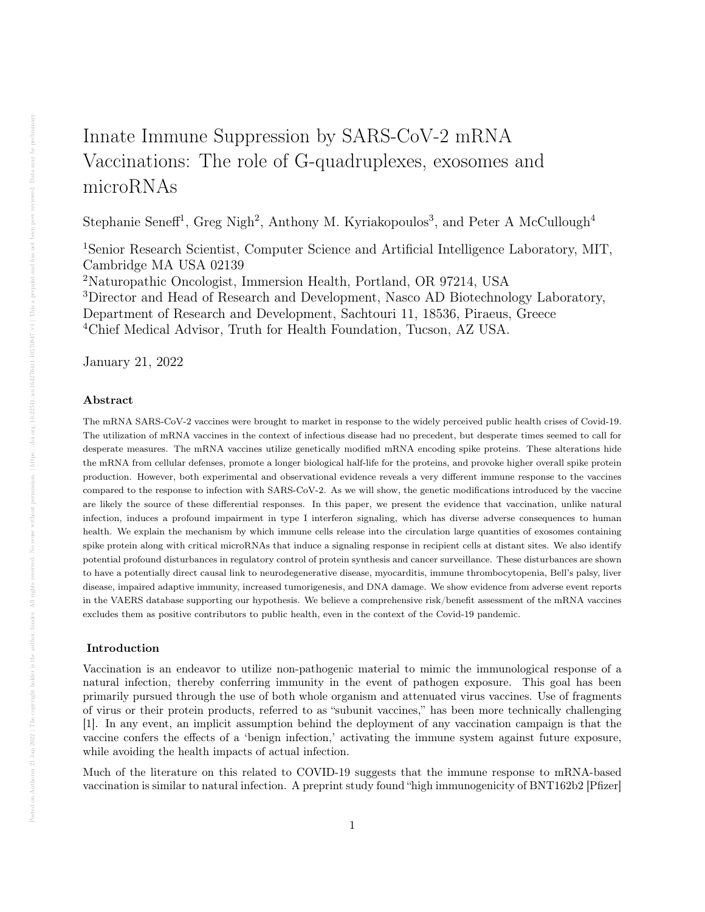# Innate Immune Suppression by SARS-CoV-2 mRNA Vaccinations: The role of G-quadruplexes, exosomes and microRNAs

Stephanie Seneff<sup>1</sup>, Greg Nigh<sup>2</sup>, Anthony M. Kyriakopoulos<sup>3</sup>, and Peter A McCullough<sup>4</sup>

<sup>1</sup>Senior Research Scientist, Computer Science and Artificial Intelligence Laboratory, MIT, Cambridge MA USA 02139

<sup>2</sup>Naturopathic Oncologist, Immersion Health, Portland, OR 97214, USA <sup>3</sup>Director and Head of Research and Development, Nasco AD Biotechnology Laboratory, Department of Research and Development, Sachtouri 11, 18536, Piraeus, Greece <sup>4</sup>Chief Medical Advisor, Truth for Health Foundation, Tucson, AZ USA.

January 21, 2022

## Abstract

The mRNA SARS-CoV-2 vaccines were brought to market in response to the widely perceived public health crises of Covid-19. The utilization of mRNA vaccines in the context of infectious disease had no precedent, but desperate times seemed to call for desperate measures. The mRNA vaccines utilize genetically modified mRNA encoding spike proteins. These alterations hide the mRNA from cellular defenses, promote a longer biological half-life for the proteins, and provoke higher overall spike protein production. However, both experimental and observational evidence reveals a very different immune response to the vaccines compared to the response to infection with SARS-CoV-2. As we will show, the genetic modifications introduced by the vaccine are likely the source of these differential responses. In this paper, we present the evidence that vaccination, unlike natural infection, induces a profound impairment in type I interferon signaling, which has diverse adverse consequences to human health. We explain the mechanism by which immune cells release into the circulation large quantities of exosomes containing spike protein along with critical microRNAs that induce a signaling response in recipient cells at distant sites. We also identify potential profound disturbances in regulatory control of protein synthesis and cancer surveillance. These disturbances are shown to have a potentially direct causal link to neurodegenerative disease, myocarditis, immune thrombocytopenia, Bell's palsy, liver disease, impaired adaptive immunity, increased tumorigenesis, and DNA damage. We show evidence from adverse event reports in the VAERS database supporting our hypothesis. We believe a comprehensive risk/benefit assessment of the mRNA vaccines excludes them as positive contributors to public health, even in the context of the Covid-19 pandemic.

# Introduction

Vaccination is an endeavor to utilize non-pathogenic material to mimic the immunological response of a natural infection, thereby conferring immunity in the event of pathogen exposure. This goal has been primarily pursued through the use of both whole organism and attenuated virus vaccines. Use of fragments of virus or their protein products, referred to as "subunit vaccines," has been more technically challenging [1]. In any event, an implicit assumption behind the deployment of any vaccination campaign is that the vaccine confers the effects of a 'benign infection,' activating the immune system against future exposure, while avoiding the health impacts of actual infection.

Much of the literature on this related to COVID-19 suggests that the immune response to mRNA-based vaccination is similar to natural infection. A preprint study found "high immunogenicity of BNT162b2 [Pfizer]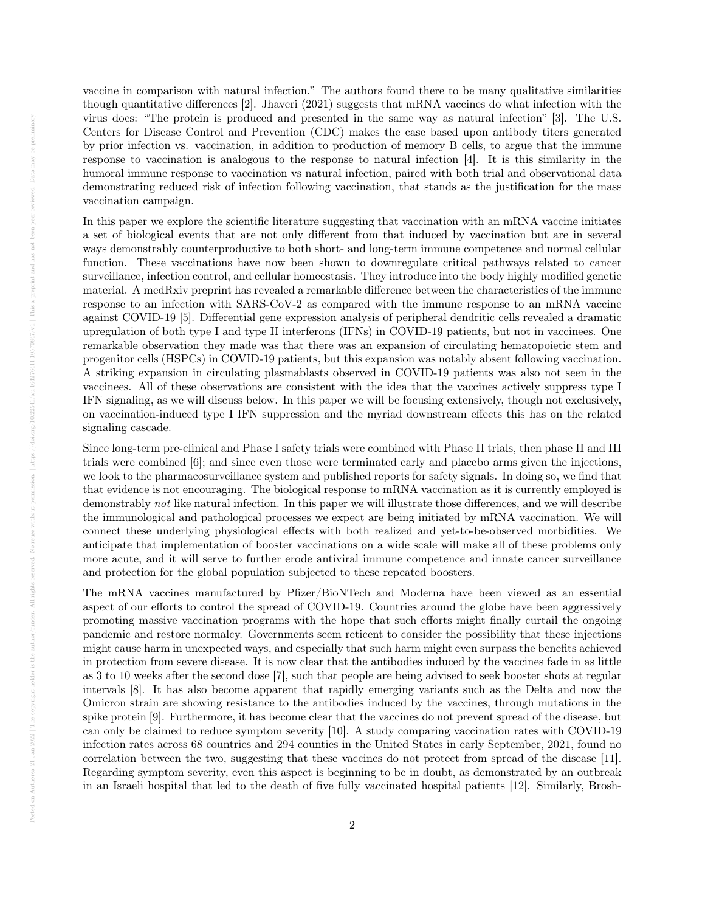vaccine in comparison with natural infection." The authors found there to be many qualitative similarities though quantitative differences [2]. Jhaveri (2021) suggests that mRNA vaccines do what infection with the virus does: "The protein is produced and presented in the same way as natural infection" [3]. The U.S. Centers for Disease Control and Prevention (CDC) makes the case based upon antibody titers generated by prior infection vs. vaccination, in addition to production of memory B cells, to argue that the immune response to vaccination is analogous to the response to natural infection [4]. It is this similarity in the humoral immune response to vaccination vs natural infection, paired with both trial and observational data demonstrating reduced risk of infection following vaccination, that stands as the justification for the mass vaccination campaign.

In this paper we explore the scientific literature suggesting that vaccination with an mRNA vaccine initiates a set of biological events that are not only different from that induced by vaccination but are in several ways demonstrably counterproductive to both short- and long-term immune competence and normal cellular function. These vaccinations have now been shown to downregulate critical pathways related to cancer surveillance, infection control, and cellular homeostasis. They introduce into the body highly modified genetic material. A medRxiv preprint has revealed a remarkable difference between the characteristics of the immune response to an infection with SARS-CoV-2 as compared with the immune response to an mRNA vaccine against COVID-19 [5]. Differential gene expression analysis of peripheral dendritic cells revealed a dramatic upregulation of both type I and type II interferons (IFNs) in COVID-19 patients, but not in vaccinees. One remarkable observation they made was that there was an expansion of circulating hematopoietic stem and progenitor cells (HSPCs) in COVID-19 patients, but this expansion was notably absent following vaccination. A striking expansion in circulating plasmablasts observed in COVID-19 patients was also not seen in the vaccinees. All of these observations are consistent with the idea that the vaccines actively suppress type I IFN signaling, as we will discuss below. In this paper we will be focusing extensively, though not exclusively, on vaccination-induced type I IFN suppression and the myriad downstream effects this has on the related signaling cascade.

Since long-term pre-clinical and Phase I safety trials were combined with Phase II trials, then phase II and III trials were combined [6]; and since even those were terminated early and placebo arms given the injections, we look to the pharmacosurveillance system and published reports for safety signals. In doing so, we find that that evidence is not encouraging. The biological response to mRNA vaccination as it is currently employed is demonstrably not like natural infection. In this paper we will illustrate those differences, and we will describe the immunological and pathological processes we expect are being initiated by mRNA vaccination. We will connect these underlying physiological effects with both realized and yet-to-be-observed morbidities. We anticipate that implementation of booster vaccinations on a wide scale will make all of these problems only more acute, and it will serve to further erode antiviral immune competence and innate cancer surveillance and protection for the global population subjected to these repeated boosters.

The mRNA vaccines manufactured by Pfizer/BioNTech and Moderna have been viewed as an essential aspect of our efforts to control the spread of COVID-19. Countries around the globe have been aggressively promoting massive vaccination programs with the hope that such efforts might finally curtail the ongoing pandemic and restore normalcy. Governments seem reticent to consider the possibility that these injections might cause harm in unexpected ways, and especially that such harm might even surpass the benefits achieved in protection from severe disease. It is now clear that the antibodies induced by the vaccines fade in as little as 3 to 10 weeks after the second dose [7], such that people are being advised to seek booster shots at regular intervals [8]. It has also become apparent that rapidly emerging variants such as the Delta and now the Omicron strain are showing resistance to the antibodies induced by the vaccines, through mutations in the spike protein [9]. Furthermore, it has become clear that the vaccines do not prevent spread of the disease, but can only be claimed to reduce symptom severity [10]. A study comparing vaccination rates with COVID-19 infection rates across 68 countries and 294 counties in the United States in early September, 2021, found no correlation between the two, suggesting that these vaccines do not protect from spread of the disease [11]. Regarding symptom severity, even this aspect is beginning to be in doubt, as demonstrated by an outbreak in an Israeli hospital that led to the death of five fully vaccinated hospital patients [12]. Similarly, Brosh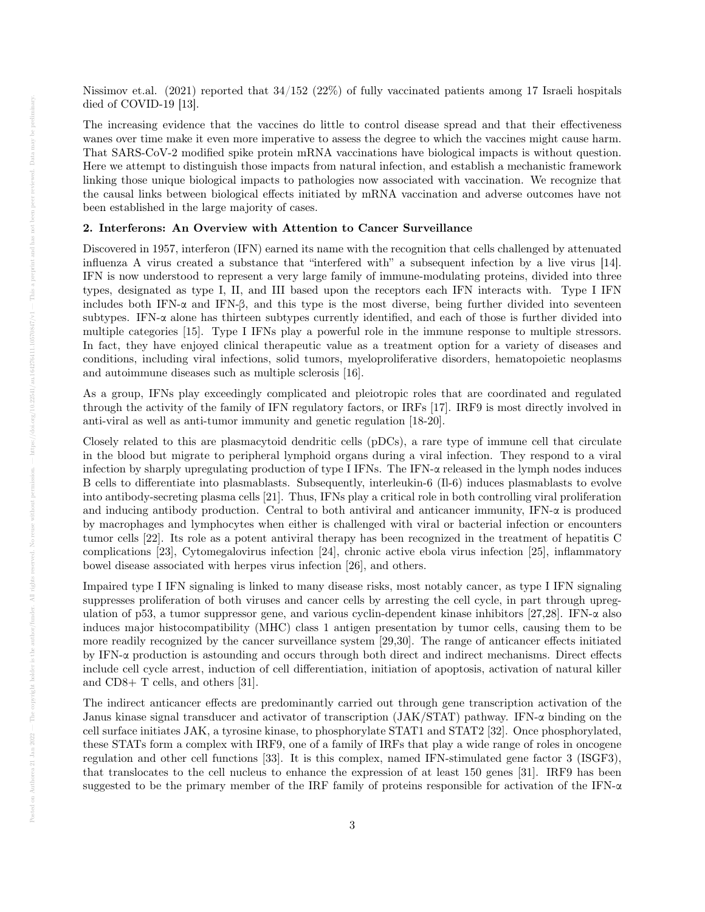Nissimov et.al. (2021) reported that 34/152 (22%) of fully vaccinated patients among 17 Israeli hospitals died of COVID-19 [13].

The increasing evidence that the vaccines do little to control disease spread and that their effectiveness wanes over time make it even more imperative to assess the degree to which the vaccines might cause harm. That SARS-CoV-2 modified spike protein mRNA vaccinations have biological impacts is without question. Here we attempt to distinguish those impacts from natural infection, and establish a mechanistic framework linking those unique biological impacts to pathologies now associated with vaccination. We recognize that the causal links between biological effects initiated by mRNA vaccination and adverse outcomes have not been established in the large majority of cases.

## 2. Interferons: An Overview with Attention to Cancer Surveillance

Discovered in 1957, interferon (IFN) earned its name with the recognition that cells challenged by attenuated influenza A virus created a substance that "interfered with" a subsequent infection by a live virus [14]. IFN is now understood to represent a very large family of immune-modulating proteins, divided into three types, designated as type I, II, and III based upon the receptors each IFN interacts with. Type I IFN includes both IFN-α and IFN-β, and this type is the most diverse, being further divided into seventeen subtypes. IFN-α alone has thirteen subtypes currently identified, and each of those is further divided into multiple categories [15]. Type I IFNs play a powerful role in the immune response to multiple stressors. In fact, they have enjoyed clinical therapeutic value as a treatment option for a variety of diseases and conditions, including viral infections, solid tumors, myeloproliferative disorders, hematopoietic neoplasms and autoimmune diseases such as multiple sclerosis [16].

As a group, IFNs play exceedingly complicated and pleiotropic roles that are coordinated and regulated through the activity of the family of IFN regulatory factors, or IRFs [17]. IRF9 is most directly involved in anti-viral as well as anti-tumor immunity and genetic regulation [18-20].

Closely related to this are plasmacytoid dendritic cells (pDCs), a rare type of immune cell that circulate in the blood but migrate to peripheral lymphoid organs during a viral infection. They respond to a viral infection by sharply upregulating production of type I IFNs. The IFN-α released in the lymph nodes induces B cells to differentiate into plasmablasts. Subsequently, interleukin-6 (Il-6) induces plasmablasts to evolve into antibody-secreting plasma cells [21]. Thus, IFNs play a critical role in both controlling viral proliferation and inducing antibody production. Central to both antiviral and anticancer immunity, IFN-α is produced by macrophages and lymphocytes when either is challenged with viral or bacterial infection or encounters tumor cells [22]. Its role as a potent antiviral therapy has been recognized in the treatment of hepatitis C complications [23], Cytomegalovirus infection [24], chronic active ebola virus infection [25], inflammatory bowel disease associated with herpes virus infection [26], and others.

Impaired type I IFN signaling is linked to many disease risks, most notably cancer, as type I IFN signaling suppresses proliferation of both viruses and cancer cells by arresting the cell cycle, in part through upregulation of p53, a tumor suppressor gene, and various cyclin-dependent kinase inhibitors [27,28]. IFN-α also induces major histocompatibility (MHC) class 1 antigen presentation by tumor cells, causing them to be more readily recognized by the cancer surveillance system [29,30]. The range of anticancer effects initiated by IFN-α production is astounding and occurs through both direct and indirect mechanisms. Direct effects include cell cycle arrest, induction of cell differentiation, initiation of apoptosis, activation of natural killer and CD8+ T cells, and others [31].

The indirect anticancer effects are predominantly carried out through gene transcription activation of the Janus kinase signal transducer and activator of transcription (JAK/STAT) pathway. IFN-α binding on the cell surface initiates JAK, a tyrosine kinase, to phosphorylate STAT1 and STAT2 [32]. Once phosphorylated, these STATs form a complex with IRF9, one of a family of IRFs that play a wide range of roles in oncogene regulation and other cell functions [33]. It is this complex, named IFN-stimulated gene factor 3 (ISGF3), that translocates to the cell nucleus to enhance the expression of at least 150 genes [31]. IRF9 has been suggested to be the primary member of the IRF family of proteins responsible for activation of the IFN- $\alpha$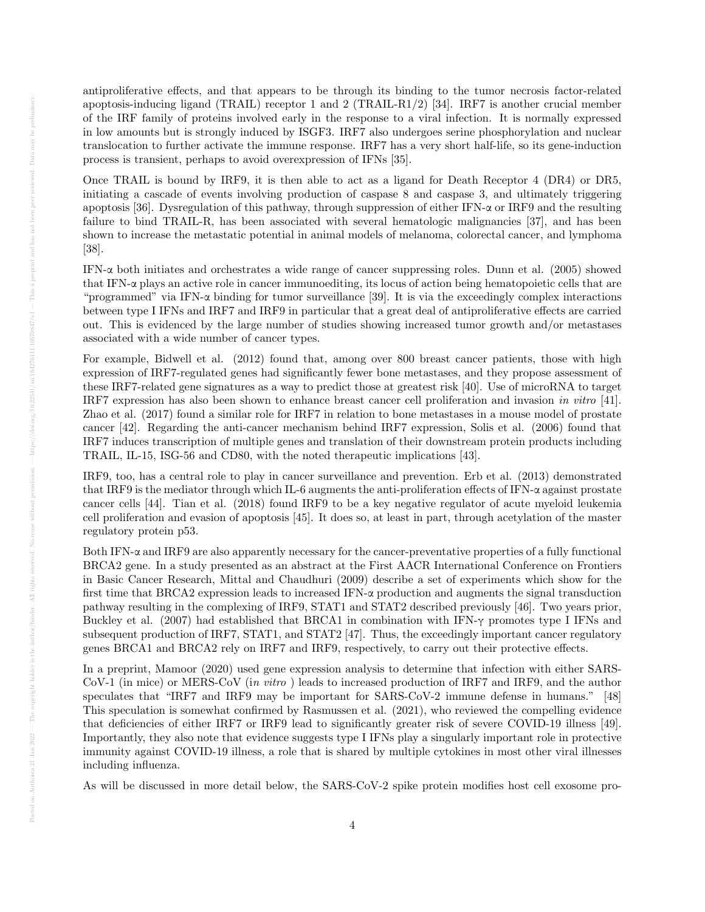antiproliferative effects, and that appears to be through its binding to the tumor necrosis factor-related apoptosis-inducing ligand (TRAIL) receptor 1 and 2 (TRAIL-R1/2) [34]. IRF7 is another crucial member of the IRF family of proteins involved early in the response to a viral infection. It is normally expressed in low amounts but is strongly induced by ISGF3. IRF7 also undergoes serine phosphorylation and nuclear translocation to further activate the immune response. IRF7 has a very short half-life, so its gene-induction process is transient, perhaps to avoid overexpression of IFNs [35].

Once TRAIL is bound by IRF9, it is then able to act as a ligand for Death Receptor 4 (DR4) or DR5, initiating a cascade of events involving production of caspase 8 and caspase 3, and ultimately triggering apoptosis [36]. Dysregulation of this pathway, through suppression of either IFN-α or IRF9 and the resulting failure to bind TRAIL-R, has been associated with several hematologic malignancies [37], and has been shown to increase the metastatic potential in animal models of melanoma, colorectal cancer, and lymphoma [38].

IFN-α both initiates and orchestrates a wide range of cancer suppressing roles. Dunn et al. (2005) showed that IFN-α plays an active role in cancer immunoediting, its locus of action being hematopoietic cells that are "programmed" via IFN- $\alpha$  binding for tumor surveillance [39]. It is via the exceedingly complex interactions between type I IFNs and IRF7 and IRF9 in particular that a great deal of antiproliferative effects are carried out. This is evidenced by the large number of studies showing increased tumor growth and/or metastases associated with a wide number of cancer types.

For example, Bidwell et al. (2012) found that, among over 800 breast cancer patients, those with high expression of IRF7-regulated genes had significantly fewer bone metastases, and they propose assessment of these IRF7-related gene signatures as a way to predict those at greatest risk [40]. Use of microRNA to target IRF7 expression has also been shown to enhance breast cancer cell proliferation and invasion in vitro [41]. Zhao et al. (2017) found a similar role for IRF7 in relation to bone metastases in a mouse model of prostate cancer [42]. Regarding the anti-cancer mechanism behind IRF7 expression, Solis et al. (2006) found that IRF7 induces transcription of multiple genes and translation of their downstream protein products including TRAIL, IL-15, ISG-56 and CD80, with the noted therapeutic implications [43].

IRF9, too, has a central role to play in cancer surveillance and prevention. Erb et al. (2013) demonstrated that IRF9 is the mediator through which IL-6 augments the anti-proliferation effects of IFN-α against prostate cancer cells [44]. Tian et al. (2018) found IRF9 to be a key negative regulator of acute myeloid leukemia cell proliferation and evasion of apoptosis [45]. It does so, at least in part, through acetylation of the master regulatory protein p53.

Both IFN-α and IRF9 are also apparently necessary for the cancer-preventative properties of a fully functional BRCA2 gene. In a study presented as an abstract at the First AACR International Conference on Frontiers in Basic Cancer Research, Mittal and Chaudhuri (2009) describe a set of experiments which show for the first time that BRCA2 expression leads to increased IFN-α production and augments the signal transduction pathway resulting in the complexing of IRF9, STAT1 and STAT2 described previously [46]. Two years prior, Buckley et al. (2007) had established that BRCA1 in combination with IFN- $\gamma$  promotes type I IFNs and subsequent production of IRF7, STAT1, and STAT2 [47]. Thus, the exceedingly important cancer regulatory genes BRCA1 and BRCA2 rely on IRF7 and IRF9, respectively, to carry out their protective effects.

In a preprint, Mamoor (2020) used gene expression analysis to determine that infection with either SARS-CoV-1 (in mice) or MERS-CoV (in vitro ) leads to increased production of IRF7 and IRF9, and the author speculates that "IRF7 and IRF9 may be important for SARS-CoV-2 immune defense in humans." [48] This speculation is somewhat confirmed by Rasmussen et al. (2021), who reviewed the compelling evidence that deficiencies of either IRF7 or IRF9 lead to significantly greater risk of severe COVID-19 illness [49]. Importantly, they also note that evidence suggests type I IFNs play a singularly important role in protective immunity against COVID-19 illness, a role that is shared by multiple cytokines in most other viral illnesses including influenza.

As will be discussed in more detail below, the SARS-CoV-2 spike protein modifies host cell exosome pro-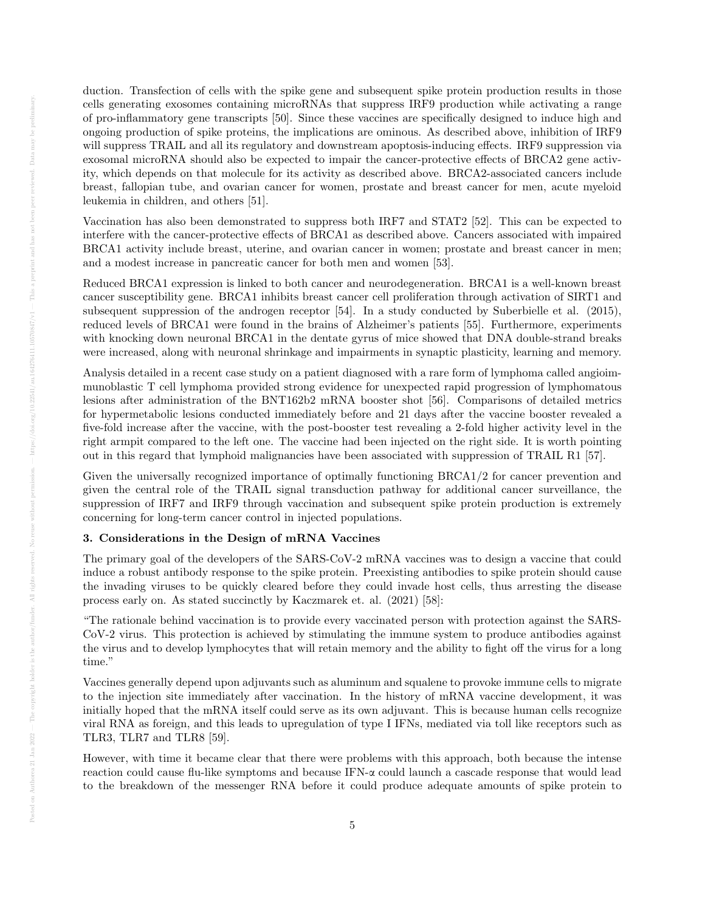duction. Transfection of cells with the spike gene and subsequent spike protein production results in those cells generating exosomes containing microRNAs that suppress IRF9 production while activating a range of pro-inflammatory gene transcripts [50]. Since these vaccines are specifically designed to induce high and ongoing production of spike proteins, the implications are ominous. As described above, inhibition of IRF9 will suppress TRAIL and all its regulatory and downstream apoptosis-inducing effects. IRF9 suppression via exosomal microRNA should also be expected to impair the cancer-protective effects of BRCA2 gene activity, which depends on that molecule for its activity as described above. BRCA2-associated cancers include breast, fallopian tube, and ovarian cancer for women, prostate and breast cancer for men, acute myeloid leukemia in children, and others [51].

Vaccination has also been demonstrated to suppress both IRF7 and STAT2 [52]. This can be expected to interfere with the cancer-protective effects of BRCA1 as described above. Cancers associated with impaired BRCA1 activity include breast, uterine, and ovarian cancer in women; prostate and breast cancer in men; and a modest increase in pancreatic cancer for both men and women [53].

Reduced BRCA1 expression is linked to both cancer and neurodegeneration. BRCA1 is a well-known breast cancer susceptibility gene. BRCA1 inhibits breast cancer cell proliferation through activation of SIRT1 and subsequent suppression of the androgen receptor [54]. In a study conducted by Suberbielle et al. (2015), reduced levels of BRCA1 were found in the brains of Alzheimer's patients [55]. Furthermore, experiments with knocking down neuronal BRCA1 in the dentate gyrus of mice showed that DNA double-strand breaks were increased, along with neuronal shrinkage and impairments in synaptic plasticity, learning and memory.

Analysis detailed in a recent case study on a patient diagnosed with a rare form of lymphoma called angioimmunoblastic T cell lymphoma provided strong evidence for unexpected rapid progression of lymphomatous lesions after administration of the BNT162b2 mRNA booster shot [56]. Comparisons of detailed metrics for hypermetabolic lesions conducted immediately before and 21 days after the vaccine booster revealed a five-fold increase after the vaccine, with the post-booster test revealing a 2-fold higher activity level in the right armpit compared to the left one. The vaccine had been injected on the right side. It is worth pointing out in this regard that lymphoid malignancies have been associated with suppression of TRAIL R1 [57].

Given the universally recognized importance of optimally functioning BRCA1/2 for cancer prevention and given the central role of the TRAIL signal transduction pathway for additional cancer surveillance, the suppression of IRF7 and IRF9 through vaccination and subsequent spike protein production is extremely concerning for long-term cancer control in injected populations.

## 3. Considerations in the Design of mRNA Vaccines

The primary goal of the developers of the SARS-CoV-2 mRNA vaccines was to design a vaccine that could induce a robust antibody response to the spike protein. Preexisting antibodies to spike protein should cause the invading viruses to be quickly cleared before they could invade host cells, thus arresting the disease process early on. As stated succinctly by Kaczmarek et. al. (2021) [58]:

"The rationale behind vaccination is to provide every vaccinated person with protection against the SARS-CoV-2 virus. This protection is achieved by stimulating the immune system to produce antibodies against the virus and to develop lymphocytes that will retain memory and the ability to fight off the virus for a long time."

Vaccines generally depend upon adjuvants such as aluminum and squalene to provoke immune cells to migrate to the injection site immediately after vaccination. In the history of mRNA vaccine development, it was initially hoped that the mRNA itself could serve as its own adjuvant. This is because human cells recognize viral RNA as foreign, and this leads to upregulation of type I IFNs, mediated via toll like receptors such as TLR3, TLR7 and TLR8 [59].

However, with time it became clear that there were problems with this approach, both because the intense reaction could cause flu-like symptoms and because IFN-α could launch a cascade response that would lead to the breakdown of the messenger RNA before it could produce adequate amounts of spike protein to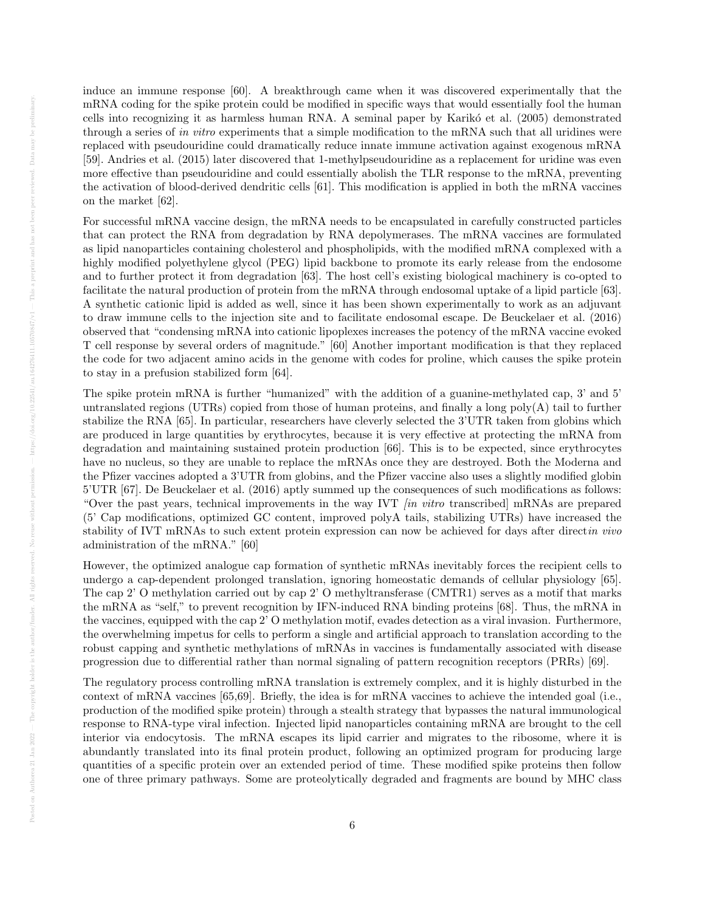induce an immune response [60]. A breakthrough came when it was discovered experimentally that the mRNA coding for the spike protein could be modified in specific ways that would essentially fool the human cells into recognizing it as harmless human RNA. A seminal paper by Karikó et al. (2005) demonstrated through a series of in vitro experiments that a simple modification to the mRNA such that all uridines were replaced with pseudouridine could dramatically reduce innate immune activation against exogenous mRNA [59]. Andries et al. (2015) later discovered that 1-methylpseudouridine as a replacement for uridine was even more effective than pseudouridine and could essentially abolish the TLR response to the mRNA, preventing the activation of blood-derived dendritic cells [61]. This modification is applied in both the mRNA vaccines on the market [62].

For successful mRNA vaccine design, the mRNA needs to be encapsulated in carefully constructed particles that can protect the RNA from degradation by RNA depolymerases. The mRNA vaccines are formulated as lipid nanoparticles containing cholesterol and phospholipids, with the modified mRNA complexed with a highly modified polyethylene glycol (PEG) lipid backbone to promote its early release from the endosome and to further protect it from degradation [63]. The host cell's existing biological machinery is co-opted to facilitate the natural production of protein from the mRNA through endosomal uptake of a lipid particle [63]. A synthetic cationic lipid is added as well, since it has been shown experimentally to work as an adjuvant to draw immune cells to the injection site and to facilitate endosomal escape. De Beuckelaer et al. (2016) observed that "condensing mRNA into cationic lipoplexes increases the potency of the mRNA vaccine evoked T cell response by several orders of magnitude." [60] Another important modification is that they replaced the code for two adjacent amino acids in the genome with codes for proline, which causes the spike protein to stay in a prefusion stabilized form [64].

The spike protein mRNA is further "humanized" with the addition of a guanine-methylated cap, 3' and 5' untranslated regions (UTRs) copied from those of human proteins, and finally a long poly(A) tail to further stabilize the RNA [65]. In particular, researchers have cleverly selected the 3'UTR taken from globins which are produced in large quantities by erythrocytes, because it is very effective at protecting the mRNA from degradation and maintaining sustained protein production [66]. This is to be expected, since erythrocytes have no nucleus, so they are unable to replace the mRNAs once they are destroyed. Both the Moderna and the Pfizer vaccines adopted a 3'UTR from globins, and the Pfizer vaccine also uses a slightly modified globin 5'UTR [67]. De Beuckelaer et al. (2016) aptly summed up the consequences of such modifications as follows: "Over the past years, technical improvements in the way IVT  $\sin$  vitro transcribed mRNAs are prepared (5' Cap modifications, optimized GC content, improved polyA tails, stabilizing UTRs) have increased the stability of IVT mRNAs to such extent protein expression can now be achieved for days after direct in vivo administration of the mRNA." [60]

However, the optimized analogue cap formation of synthetic mRNAs inevitably forces the recipient cells to undergo a cap-dependent prolonged translation, ignoring homeostatic demands of cellular physiology [65]. The cap 2' O methylation carried out by cap 2' O methyltransferase (CMTR1) serves as a motif that marks the mRNA as "self," to prevent recognition by IFN-induced RNA binding proteins [68]. Thus, the mRNA in the vaccines, equipped with the cap 2' O methylation motif, evades detection as a viral invasion. Furthermore, the overwhelming impetus for cells to perform a single and artificial approach to translation according to the robust capping and synthetic methylations of mRNAs in vaccines is fundamentally associated with disease progression due to differential rather than normal signaling of pattern recognition receptors (PRRs) [69].

The regulatory process controlling mRNA translation is extremely complex, and it is highly disturbed in the context of mRNA vaccines [65,69]. Briefly, the idea is for mRNA vaccines to achieve the intended goal (i.e., production of the modified spike protein) through a stealth strategy that bypasses the natural immunological response to RNA-type viral infection. Injected lipid nanoparticles containing mRNA are brought to the cell interior via endocytosis. The mRNA escapes its lipid carrier and migrates to the ribosome, where it is abundantly translated into its final protein product, following an optimized program for producing large quantities of a specific protein over an extended period of time. These modified spike proteins then follow one of three primary pathways. Some are proteolytically degraded and fragments are bound by MHC class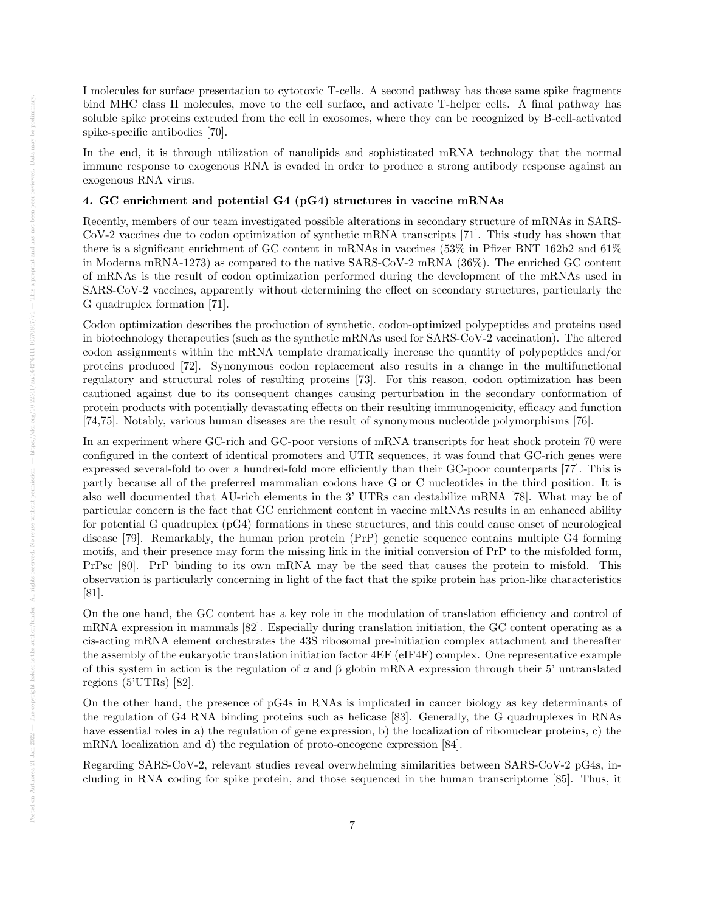I molecules for surface presentation to cytotoxic T-cells. A second pathway has those same spike fragments bind MHC class II molecules, move to the cell surface, and activate T-helper cells. A final pathway has soluble spike proteins extruded from the cell in exosomes, where they can be recognized by B-cell-activated spike-specific antibodies [70].

In the end, it is through utilization of nanolipids and sophisticated mRNA technology that the normal immune response to exogenous RNA is evaded in order to produce a strong antibody response against an exogenous RNA virus.

## 4. GC enrichment and potential G4 (pG4) structures in vaccine mRNAs

Recently, members of our team investigated possible alterations in secondary structure of mRNAs in SARS-CoV-2 vaccines due to codon optimization of synthetic mRNA transcripts [71]. This study has shown that there is a significant enrichment of GC content in mRNAs in vaccines (53% in Pfizer BNT 162b2 and 61% in Moderna mRNA-1273) as compared to the native SARS-CoV-2 mRNA (36%). The enriched GC content of mRNAs is the result of codon optimization performed during the development of the mRNAs used in SARS-CoV-2 vaccines, apparently without determining the effect on secondary structures, particularly the G quadruplex formation [71].

Codon optimization describes the production of synthetic, codon-optimized polypeptides and proteins used in biotechnology therapeutics (such as the synthetic mRNAs used for SARS-CoV-2 vaccination). The altered codon assignments within the mRNA template dramatically increase the quantity of polypeptides and/or proteins produced [72]. Synonymous codon replacement also results in a change in the multifunctional regulatory and structural roles of resulting proteins [73]. For this reason, codon optimization has been cautioned against due to its consequent changes causing perturbation in the secondary conformation of protein products with potentially devastating effects on their resulting immunogenicity, efficacy and function [74,75]. Notably, various human diseases are the result of synonymous nucleotide polymorphisms [76].

In an experiment where GC-rich and GC-poor versions of mRNA transcripts for heat shock protein 70 were configured in the context of identical promoters and UTR sequences, it was found that GC-rich genes were expressed several-fold to over a hundred-fold more efficiently than their GC-poor counterparts [77]. This is partly because all of the preferred mammalian codons have G or C nucleotides in the third position. It is also well documented that AU-rich elements in the 3' UTRs can destabilize mRNA [78]. What may be of particular concern is the fact that GC enrichment content in vaccine mRNAs results in an enhanced ability for potential G quadruplex (pG4) formations in these structures, and this could cause onset of neurological disease [79]. Remarkably, the human prion protein (PrP) genetic sequence contains multiple G4 forming motifs, and their presence may form the missing link in the initial conversion of PrP to the misfolded form, PrPsc [80]. PrP binding to its own mRNA may be the seed that causes the protein to misfold. This observation is particularly concerning in light of the fact that the spike protein has prion-like characteristics [81].

On the one hand, the GC content has a key role in the modulation of translation efficiency and control of mRNA expression in mammals [82]. Especially during translation initiation, the GC content operating as a cis-acting mRNA element orchestrates the 43S ribosomal pre-initiation complex attachment and thereafter the assembly of the eukaryotic translation initiation factor 4EF (eIF4F) complex. One representative example of this system in action is the regulation of  $\alpha$  and  $\beta$  globin mRNA expression through their 5' untranslated regions (5'UTRs) [82].

On the other hand, the presence of pG4s in RNAs is implicated in cancer biology as key determinants of the regulation of G4 RNA binding proteins such as helicase [83]. Generally, the G quadruplexes in RNAs have essential roles in a) the regulation of gene expression, b) the localization of ribonuclear proteins, c) the mRNA localization and d) the regulation of proto-oncogene expression [84].

Regarding SARS-CoV-2, relevant studies reveal overwhelming similarities between SARS-CoV-2 pG4s, including in RNA coding for spike protein, and those sequenced in the human transcriptome [85]. Thus, it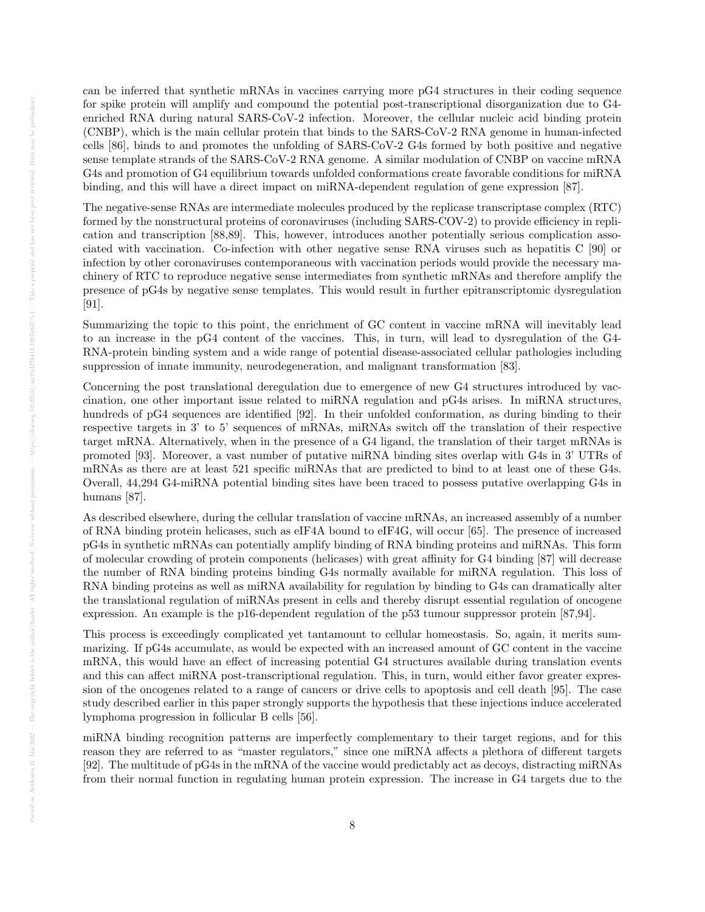can be inferred that synthetic mRNAs in vaccines carrying more pG4 structures in their coding sequence for spike protein will amplify and compound the potential post-transcriptional disorganization due to G4 enriched RNA during natural SARS-CoV-2 infection. Moreover, the cellular nucleic acid binding protein (CNBP), which is the main cellular protein that binds to the SARS-CoV-2 RNA genome in human-infected cells [86], binds to and promotes the unfolding of SARS-CoV-2 G4s formed by both positive and negative sense template strands of the SARS-CoV-2 RNA genome. A similar modulation of CNBP on vaccine mRNA G4s and promotion of G4 equilibrium towards unfolded conformations create favorable conditions for miRNA binding, and this will have a direct impact on miRNA-dependent regulation of gene expression [87].

The negative-sense RNAs are intermediate molecules produced by the replicase transcriptase complex (RTC) formed by the nonstructural proteins of coronaviruses (including SARS-COV-2) to provide efficiency in replication and transcription [88,89]. This, however, introduces another potentially serious complication associated with vaccination. Co-infection with other negative sense RNA viruses such as hepatitis C [90] or infection by other coronaviruses contemporaneous with vaccination periods would provide the necessary machinery of RTC to reproduce negative sense intermediates from synthetic mRNAs and therefore amplify the presence of pG4s by negative sense templates. This would result in further epitranscriptomic dysregulation [91].

Summarizing the topic to this point, the enrichment of GC content in vaccine mRNA will inevitably lead to an increase in the pG4 content of the vaccines. This, in turn, will lead to dysregulation of the G4- RNA-protein binding system and a wide range of potential disease-associated cellular pathologies including suppression of innate immunity, neurodegeneration, and malignant transformation [83].

Concerning the post translational deregulation due to emergence of new G4 structures introduced by vaccination, one other important issue related to miRNA regulation and pG4s arises. In miRNA structures, hundreds of pG4 sequences are identified [92]. In their unfolded conformation, as during binding to their respective targets in 3' to 5' sequences of mRNAs, miRNAs switch off the translation of their respective target mRNA. Alternatively, when in the presence of a G4 ligand, the translation of their target mRNAs is promoted [93]. Moreover, a vast number of putative miRNA binding sites overlap with G4s in 3' UTRs of mRNAs as there are at least 521 specific miRNAs that are predicted to bind to at least one of these G4s. Overall, 44,294 G4-miRNA potential binding sites have been traced to possess putative overlapping G4s in humans [87].

As described elsewhere, during the cellular translation of vaccine mRNAs, an increased assembly of a number of RNA binding protein helicases, such as eIF4A bound to eIF4G, will occur [65]. The presence of increased pG4s in synthetic mRNAs can potentially amplify binding of RNA binding proteins and miRNAs. This form of molecular crowding of protein components (helicases) with great affinity for G4 binding [87] will decrease the number of RNA binding proteins binding G4s normally available for miRNA regulation. This loss of RNA binding proteins as well as miRNA availability for regulation by binding to G4s can dramatically alter the translational regulation of miRNAs present in cells and thereby disrupt essential regulation of oncogene expression. An example is the p16-dependent regulation of the p53 tumour suppressor protein [87,94].

This process is exceedingly complicated yet tantamount to cellular homeostasis. So, again, it merits summarizing. If pG4s accumulate, as would be expected with an increased amount of GC content in the vaccine mRNA, this would have an effect of increasing potential G4 structures available during translation events and this can affect miRNA post-transcriptional regulation. This, in turn, would either favor greater expression of the oncogenes related to a range of cancers or drive cells to apoptosis and cell death [95]. The case study described earlier in this paper strongly supports the hypothesis that these injections induce accelerated lymphoma progression in follicular B cells [56].

miRNA binding recognition patterns are imperfectly complementary to their target regions, and for this reason they are referred to as "master regulators," since one miRNA affects a plethora of different targets [92]. The multitude of pG4s in the mRNA of the vaccine would predictably act as decoys, distracting miRNAs from their normal function in regulating human protein expression. The increase in G4 targets due to the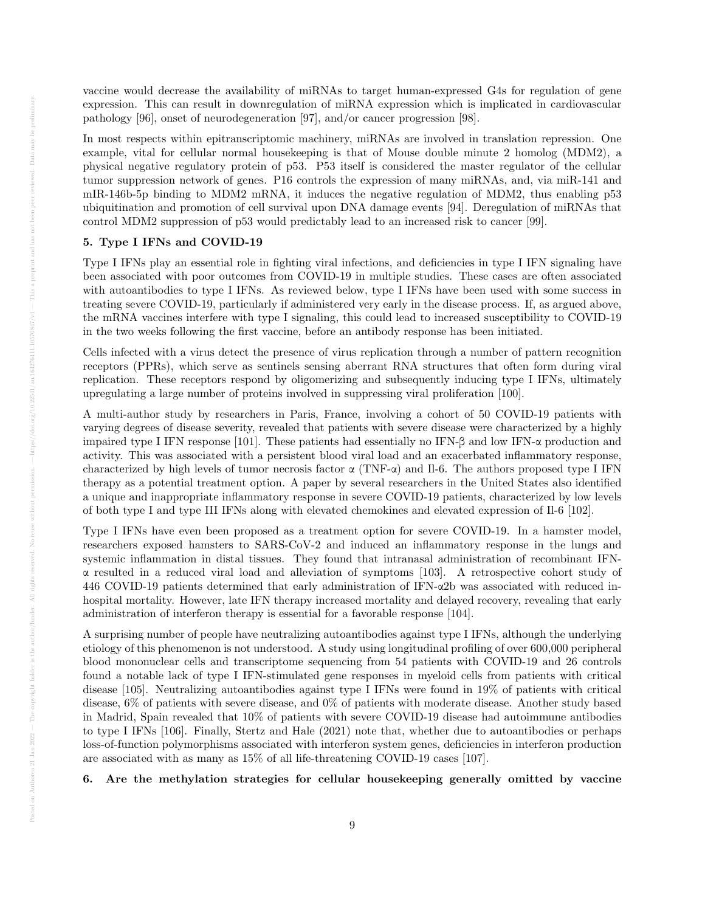vaccine would decrease the availability of miRNAs to target human-expressed G4s for regulation of gene expression. This can result in downregulation of miRNA expression which is implicated in cardiovascular pathology [96], onset of neurodegeneration [97], and/or cancer progression [98].

In most respects within epitranscriptomic machinery, miRNAs are involved in translation repression. One example, vital for cellular normal housekeeping is that of Mouse double minute 2 homolog (MDM2), a physical negative regulatory protein of p53. P53 itself is considered the master regulator of the cellular tumor suppression network of genes. P16 controls the expression of many miRNAs, and, via miR-141 and mIR-146b-5p binding to MDM2 mRNA, it induces the negative regulation of MDM2, thus enabling p53 ubiquitination and promotion of cell survival upon DNA damage events [94]. Deregulation of miRNAs that control MDM2 suppression of p53 would predictably lead to an increased risk to cancer [99].

# 5. Type I IFNs and COVID-19

Type I IFNs play an essential role in fighting viral infections, and deficiencies in type I IFN signaling have been associated with poor outcomes from COVID-19 in multiple studies. These cases are often associated with autoantibodies to type I IFNs. As reviewed below, type I IFNs have been used with some success in treating severe COVID-19, particularly if administered very early in the disease process. If, as argued above, the mRNA vaccines interfere with type I signaling, this could lead to increased susceptibility to COVID-19 in the two weeks following the first vaccine, before an antibody response has been initiated.

Cells infected with a virus detect the presence of virus replication through a number of pattern recognition receptors (PPRs), which serve as sentinels sensing aberrant RNA structures that often form during viral replication. These receptors respond by oligomerizing and subsequently inducing type I IFNs, ultimately upregulating a large number of proteins involved in suppressing viral proliferation [100].

A multi-author study by researchers in Paris, France, involving a cohort of 50 COVID-19 patients with varying degrees of disease severity, revealed that patients with severe disease were characterized by a highly impaired type I IFN response [101]. These patients had essentially no IFN-β and low IFN-α production and activity. This was associated with a persistent blood viral load and an exacerbated inflammatory response, characterized by high levels of tumor necrosis factor  $\alpha$  (TNF- $\alpha$ ) and Il-6. The authors proposed type I IFN therapy as a potential treatment option. A paper by several researchers in the United States also identified a unique and inappropriate inflammatory response in severe COVID-19 patients, characterized by low levels of both type I and type III IFNs along with elevated chemokines and elevated expression of Il-6 [102].

Type I IFNs have even been proposed as a treatment option for severe COVID-19. In a hamster model, researchers exposed hamsters to SARS-CoV-2 and induced an inflammatory response in the lungs and systemic inflammation in distal tissues. They found that intranasal administration of recombinant IFNα resulted in a reduced viral load and alleviation of symptoms [103]. A retrospective cohort study of 446 COVID-19 patients determined that early administration of IFN-α2b was associated with reduced inhospital mortality. However, late IFN therapy increased mortality and delayed recovery, revealing that early administration of interferon therapy is essential for a favorable response [104].

A surprising number of people have neutralizing autoantibodies against type I IFNs, although the underlying etiology of this phenomenon is not understood. A study using longitudinal profiling of over 600,000 peripheral blood mononuclear cells and transcriptome sequencing from 54 patients with COVID-19 and 26 controls found a notable lack of type I IFN-stimulated gene responses in myeloid cells from patients with critical disease [105]. Neutralizing autoantibodies against type I IFNs were found in 19% of patients with critical disease, 6% of patients with severe disease, and 0% of patients with moderate disease. Another study based in Madrid, Spain revealed that 10% of patients with severe COVID-19 disease had autoimmune antibodies to type I IFNs [106]. Finally, Stertz and Hale (2021) note that, whether due to autoantibodies or perhaps loss-of-function polymorphisms associated with interferon system genes, deficiencies in interferon production are associated with as many as 15% of all life-threatening COVID-19 cases [107].

6. Are the methylation strategies for cellular housekeeping generally omitted by vaccine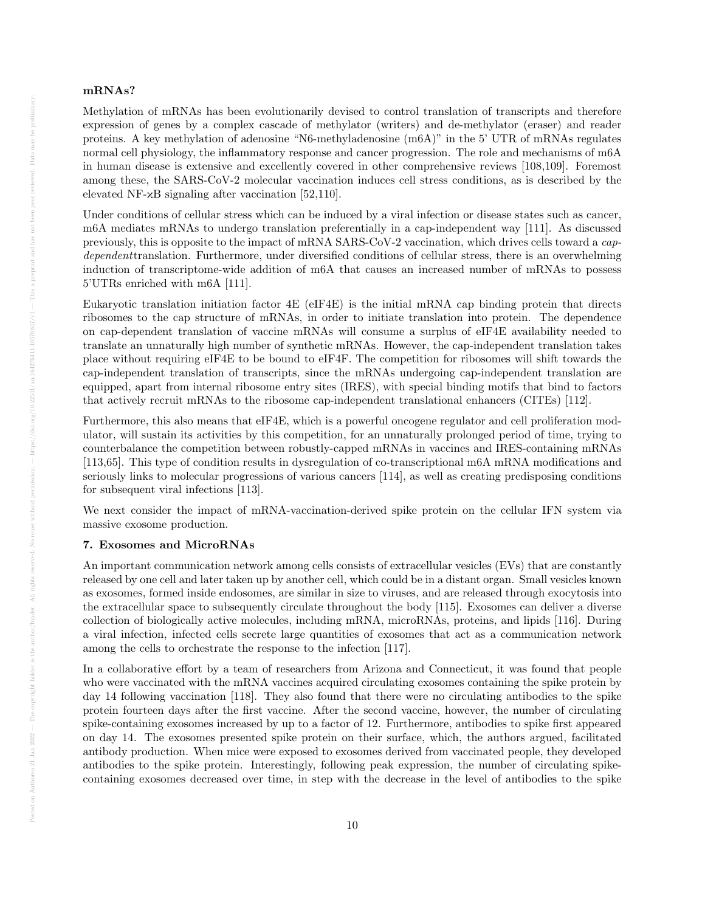# mRNAs?

Methylation of mRNAs has been evolutionarily devised to control translation of transcripts and therefore expression of genes by a complex cascade of methylator (writers) and de-methylator (eraser) and reader proteins. A key methylation of adenosine "N6-methyladenosine (m6A)" in the 5' UTR of mRNAs regulates normal cell physiology, the inflammatory response and cancer progression. The role and mechanisms of m6A in human disease is extensive and excellently covered in other comprehensive reviews [108,109]. Foremost among these, the SARS-CoV-2 molecular vaccination induces cell stress conditions, as is described by the elevated NF- $\mathsf{R}$ B signaling after vaccination [52,110].

Under conditions of cellular stress which can be induced by a viral infection or disease states such as cancer, m6A mediates mRNAs to undergo translation preferentially in a cap-independent way [111]. As discussed previously, this is opposite to the impact of mRNA SARS-CoV-2 vaccination, which drives cells toward a capdependenttranslation. Furthermore, under diversified conditions of cellular stress, there is an overwhelming induction of transcriptome-wide addition of m6A that causes an increased number of mRNAs to possess 5'UTRs enriched with m6A [111].

Eukaryotic translation initiation factor 4E (eIF4E) is the initial mRNA cap binding protein that directs ribosomes to the cap structure of mRNAs, in order to initiate translation into protein. The dependence on cap-dependent translation of vaccine mRNAs will consume a surplus of eIF4E availability needed to translate an unnaturally high number of synthetic mRNAs. However, the cap-independent translation takes place without requiring eIF4E to be bound to eIF4F. The competition for ribosomes will shift towards the cap-independent translation of transcripts, since the mRNAs undergoing cap-independent translation are equipped, apart from internal ribosome entry sites (IRES), with special binding motifs that bind to factors that actively recruit mRNAs to the ribosome cap-independent translational enhancers (CITEs) [112].

Furthermore, this also means that eIF4E, which is a powerful oncogene regulator and cell proliferation modulator, will sustain its activities by this competition, for an unnaturally prolonged period of time, trying to counterbalance the competition between robustly-capped mRNAs in vaccines and IRES-containing mRNAs [113,65]. This type of condition results in dysregulation of co-transcriptional m6A mRNA modifications and seriously links to molecular progressions of various cancers [114], as well as creating predisposing conditions for subsequent viral infections [113].

We next consider the impact of mRNA-vaccination-derived spike protein on the cellular IFN system via massive exosome production.

## 7. Exosomes and MicroRNAs

An important communication network among cells consists of extracellular vesicles (EVs) that are constantly released by one cell and later taken up by another cell, which could be in a distant organ. Small vesicles known as exosomes, formed inside endosomes, are similar in size to viruses, and are released through exocytosis into the extracellular space to subsequently circulate throughout the body [115]. Exosomes can deliver a diverse collection of biologically active molecules, including mRNA, microRNAs, proteins, and lipids [116]. During a viral infection, infected cells secrete large quantities of exosomes that act as a communication network among the cells to orchestrate the response to the infection [117].

In a collaborative effort by a team of researchers from Arizona and Connecticut, it was found that people who were vaccinated with the mRNA vaccines acquired circulating exosomes containing the spike protein by day 14 following vaccination [118]. They also found that there were no circulating antibodies to the spike protein fourteen days after the first vaccine. After the second vaccine, however, the number of circulating spike-containing exosomes increased by up to a factor of 12. Furthermore, antibodies to spike first appeared on day 14. The exosomes presented spike protein on their surface, which, the authors argued, facilitated antibody production. When mice were exposed to exosomes derived from vaccinated people, they developed antibodies to the spike protein. Interestingly, following peak expression, the number of circulating spikecontaining exosomes decreased over time, in step with the decrease in the level of antibodies to the spike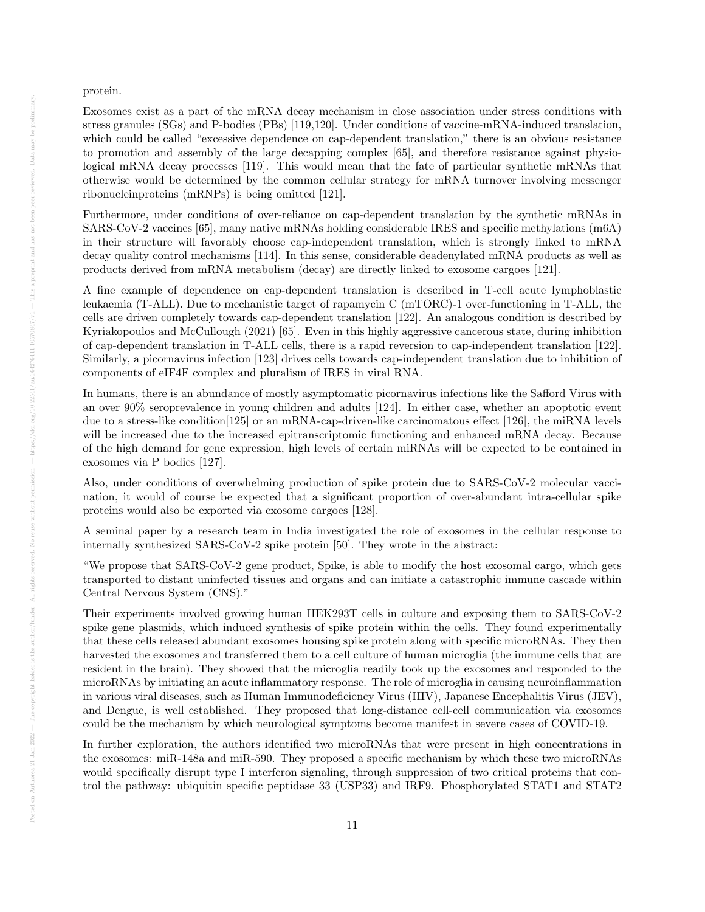protein.

Exosomes exist as a part of the mRNA decay mechanism in close association under stress conditions with stress granules (SGs) and P-bodies (PBs) [119,120]. Under conditions of vaccine-mRNA-induced translation, which could be called "excessive dependence on cap-dependent translation," there is an obvious resistance to promotion and assembly of the large decapping complex [65], and therefore resistance against physiological mRNA decay processes [119]. This would mean that the fate of particular synthetic mRNAs that otherwise would be determined by the common cellular strategy for mRNA turnover involving messenger ribonucleinproteins (mRNPs) is being omitted [121].

Furthermore, under conditions of over-reliance on cap-dependent translation by the synthetic mRNAs in SARS-CoV-2 vaccines [65], many native mRNAs holding considerable IRES and specific methylations (m6A) in their structure will favorably choose cap-independent translation, which is strongly linked to mRNA decay quality control mechanisms [114]. In this sense, considerable deadenylated mRNA products as well as products derived from mRNA metabolism (decay) are directly linked to exosome cargoes [121].

A fine example of dependence on cap-dependent translation is described in T-cell acute lymphoblastic leukaemia (T-ALL). Due to mechanistic target of rapamycin C (mTORC)-1 over-functioning in T-ALL, the cells are driven completely towards cap-dependent translation [122]. An analogous condition is described by Kyriakopoulos and McCullough (2021) [65]. Even in this highly aggressive cancerous state, during inhibition of cap-dependent translation in T-ALL cells, there is a rapid reversion to cap-independent translation [122]. Similarly, a picornavirus infection [123] drives cells towards cap-independent translation due to inhibition of components of eIF4F complex and pluralism of IRES in viral RNA.

In humans, there is an abundance of mostly asymptomatic picornavirus infections like the Safford Virus with an over 90% seroprevalence in young children and adults [124]. In either case, whether an apoptotic event due to a stress-like condition[125] or an mRNA-cap-driven-like carcinomatous effect [126], the miRNA levels will be increased due to the increased epitranscriptomic functioning and enhanced mRNA decay. Because of the high demand for gene expression, high levels of certain miRNAs will be expected to be contained in exosomes via P bodies [127].

Also, under conditions of overwhelming production of spike protein due to SARS-CoV-2 molecular vaccination, it would of course be expected that a significant proportion of over-abundant intra-cellular spike proteins would also be exported via exosome cargoes [128].

A seminal paper by a research team in India investigated the role of exosomes in the cellular response to internally synthesized SARS-CoV-2 spike protein [50]. They wrote in the abstract:

"We propose that SARS-CoV-2 gene product, Spike, is able to modify the host exosomal cargo, which gets transported to distant uninfected tissues and organs and can initiate a catastrophic immune cascade within Central Nervous System (CNS)."

Their experiments involved growing human HEK293T cells in culture and exposing them to SARS-CoV-2 spike gene plasmids, which induced synthesis of spike protein within the cells. They found experimentally that these cells released abundant exosomes housing spike protein along with specific microRNAs. They then harvested the exosomes and transferred them to a cell culture of human microglia (the immune cells that are resident in the brain). They showed that the microglia readily took up the exosomes and responded to the microRNAs by initiating an acute inflammatory response. The role of microglia in causing neuroinflammation in various viral diseases, such as Human Immunodeficiency Virus (HIV), Japanese Encephalitis Virus (JEV), and Dengue, is well established. They proposed that long-distance cell-cell communication via exosomes could be the mechanism by which neurological symptoms become manifest in severe cases of COVID-19.

In further exploration, the authors identified two microRNAs that were present in high concentrations in the exosomes: miR-148a and miR-590. They proposed a specific mechanism by which these two microRNAs would specifically disrupt type I interferon signaling, through suppression of two critical proteins that control the pathway: ubiquitin specific peptidase 33 (USP33) and IRF9. Phosphorylated STAT1 and STAT2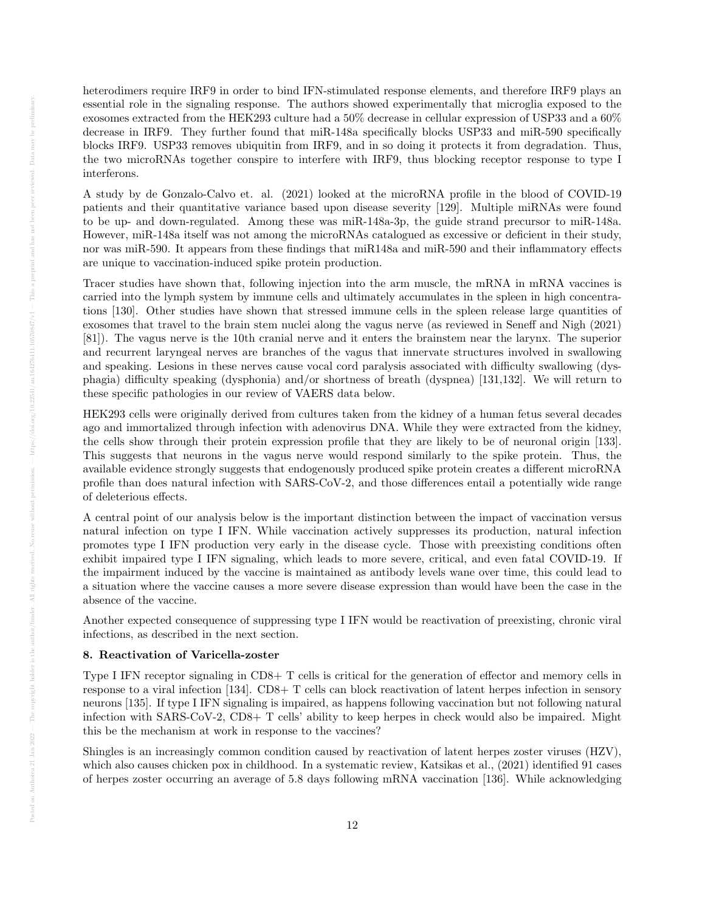heterodimers require IRF9 in order to bind IFN-stimulated response elements, and therefore IRF9 plays an essential role in the signaling response. The authors showed experimentally that microglia exposed to the exosomes extracted from the HEK293 culture had a 50% decrease in cellular expression of USP33 and a 60% decrease in IRF9. They further found that miR-148a specifically blocks USP33 and miR-590 specifically blocks IRF9. USP33 removes ubiquitin from IRF9, and in so doing it protects it from degradation. Thus, the two microRNAs together conspire to interfere with IRF9, thus blocking receptor response to type I interferons.

A study by de Gonzalo-Calvo et. al. (2021) looked at the microRNA profile in the blood of COVID-19 patients and their quantitative variance based upon disease severity [129]. Multiple miRNAs were found to be up- and down-regulated. Among these was miR-148a-3p, the guide strand precursor to miR-148a. However, miR-148a itself was not among the microRNAs catalogued as excessive or deficient in their study, nor was miR-590. It appears from these findings that miR148a and miR-590 and their inflammatory effects are unique to vaccination-induced spike protein production.

Tracer studies have shown that, following injection into the arm muscle, the mRNA in mRNA vaccines is carried into the lymph system by immune cells and ultimately accumulates in the spleen in high concentrations [130]. Other studies have shown that stressed immune cells in the spleen release large quantities of exosomes that travel to the brain stem nuclei along the vagus nerve (as reviewed in Seneff and Nigh (2021) [81]). The vagus nerve is the 10th cranial nerve and it enters the brainstem near the larynx. The superior and recurrent laryngeal nerves are branches of the vagus that innervate structures involved in swallowing and speaking. Lesions in these nerves cause vocal cord paralysis associated with difficulty swallowing (dysphagia) difficulty speaking (dysphonia) and/or shortness of breath (dyspnea) [131,132]. We will return to these specific pathologies in our review of VAERS data below.

HEK293 cells were originally derived from cultures taken from the kidney of a human fetus several decades ago and immortalized through infection with adenovirus DNA. While they were extracted from the kidney, the cells show through their protein expression profile that they are likely to be of neuronal origin [133]. This suggests that neurons in the vagus nerve would respond similarly to the spike protein. Thus, the available evidence strongly suggests that endogenously produced spike protein creates a different microRNA profile than does natural infection with SARS-CoV-2, and those differences entail a potentially wide range of deleterious effects.

A central point of our analysis below is the important distinction between the impact of vaccination versus natural infection on type I IFN. While vaccination actively suppresses its production, natural infection promotes type I IFN production very early in the disease cycle. Those with preexisting conditions often exhibit impaired type I IFN signaling, which leads to more severe, critical, and even fatal COVID-19. If the impairment induced by the vaccine is maintained as antibody levels wane over time, this could lead to a situation where the vaccine causes a more severe disease expression than would have been the case in the absence of the vaccine.

Another expected consequence of suppressing type I IFN would be reactivation of preexisting, chronic viral infections, as described in the next section.

## 8. Reactivation of Varicella-zoster

Type I IFN receptor signaling in CD8+ T cells is critical for the generation of effector and memory cells in response to a viral infection [134]. CD8+ T cells can block reactivation of latent herpes infection in sensory neurons [135]. If type I IFN signaling is impaired, as happens following vaccination but not following natural infection with SARS-CoV-2, CD8+ T cells' ability to keep herpes in check would also be impaired. Might this be the mechanism at work in response to the vaccines?

Shingles is an increasingly common condition caused by reactivation of latent herpes zoster viruses (HZV), which also causes chicken pox in childhood. In a systematic review, Katsikas et al., (2021) identified 91 cases of herpes zoster occurring an average of 5.8 days following mRNA vaccination [136]. While acknowledging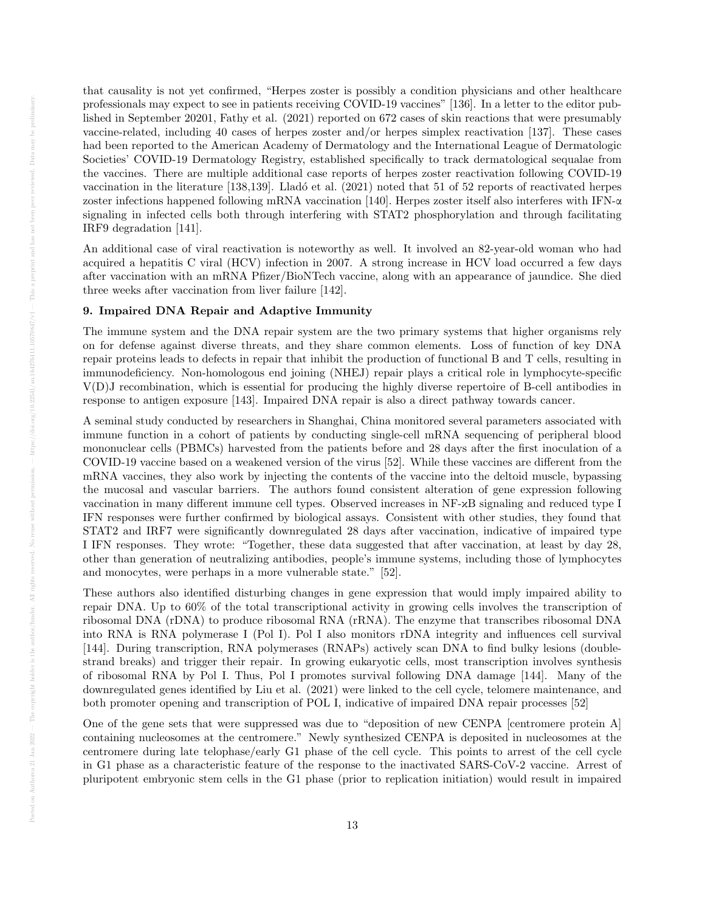that causality is not yet confirmed, "Herpes zoster is possibly a condition physicians and other healthcare professionals may expect to see in patients receiving COVID-19 vaccines" [136]. In a letter to the editor published in September 20201, Fathy et al. (2021) reported on 672 cases of skin reactions that were presumably vaccine-related, including 40 cases of herpes zoster and/or herpes simplex reactivation [137]. These cases had been reported to the American Academy of Dermatology and the International League of Dermatologic Societies' COVID-19 Dermatology Registry, established specifically to track dermatological sequalae from the vaccines. There are multiple additional case reports of herpes zoster reactivation following COVID-19 vaccination in the literature [138,139]. Lladó et al. (2021) noted that 51 of 52 reports of reactivated herpes zoster infections happened following mRNA vaccination [140]. Herpes zoster itself also interferes with IFN-α signaling in infected cells both through interfering with STAT2 phosphorylation and through facilitating IRF9 degradation [141].

An additional case of viral reactivation is noteworthy as well. It involved an 82-year-old woman who had acquired a hepatitis C viral (HCV) infection in 2007. A strong increase in HCV load occurred a few days after vaccination with an mRNA Pfizer/BioNTech vaccine, along with an appearance of jaundice. She died three weeks after vaccination from liver failure [142].

# 9. Impaired DNA Repair and Adaptive Immunity

The immune system and the DNA repair system are the two primary systems that higher organisms rely on for defense against diverse threats, and they share common elements. Loss of function of key DNA repair proteins leads to defects in repair that inhibit the production of functional B and T cells, resulting in immunodeficiency. Non-homologous end joining (NHEJ) repair plays a critical role in lymphocyte-specific V(D)J recombination, which is essential for producing the highly diverse repertoire of B-cell antibodies in response to antigen exposure [143]. Impaired DNA repair is also a direct pathway towards cancer.

A seminal study conducted by researchers in Shanghai, China monitored several parameters associated with immune function in a cohort of patients by conducting single-cell mRNA sequencing of peripheral blood mononuclear cells (PBMCs) harvested from the patients before and 28 days after the first inoculation of a COVID-19 vaccine based on a weakened version of the virus [52]. While these vaccines are different from the mRNA vaccines, they also work by injecting the contents of the vaccine into the deltoid muscle, bypassing the mucosal and vascular barriers. The authors found consistent alteration of gene expression following vaccination in many different immune cell types. Observed increases in NF-κB signaling and reduced type I IFN responses were further confirmed by biological assays. Consistent with other studies, they found that STAT2 and IRF7 were significantly downregulated 28 days after vaccination, indicative of impaired type I IFN responses. They wrote: "Together, these data suggested that after vaccination, at least by day 28, other than generation of neutralizing antibodies, people's immune systems, including those of lymphocytes and monocytes, were perhaps in a more vulnerable state." [52].

These authors also identified disturbing changes in gene expression that would imply impaired ability to repair DNA. Up to 60% of the total transcriptional activity in growing cells involves the transcription of ribosomal DNA (rDNA) to produce ribosomal RNA (rRNA). The enzyme that transcribes ribosomal DNA into RNA is RNA polymerase I (Pol I). Pol I also monitors rDNA integrity and influences cell survival [144]. During transcription, RNA polymerases (RNAPs) actively scan DNA to find bulky lesions (doublestrand breaks) and trigger their repair. In growing eukaryotic cells, most transcription involves synthesis of ribosomal RNA by Pol I. Thus, Pol I promotes survival following DNA damage [144]. Many of the downregulated genes identified by Liu et al. (2021) were linked to the cell cycle, telomere maintenance, and both promoter opening and transcription of POL I, indicative of impaired DNA repair processes [52]

One of the gene sets that were suppressed was due to "deposition of new CENPA [centromere protein A] containing nucleosomes at the centromere." Newly synthesized CENPA is deposited in nucleosomes at the centromere during late telophase/early G1 phase of the cell cycle. This points to arrest of the cell cycle in G1 phase as a characteristic feature of the response to the inactivated SARS-CoV-2 vaccine. Arrest of pluripotent embryonic stem cells in the G1 phase (prior to replication initiation) would result in impaired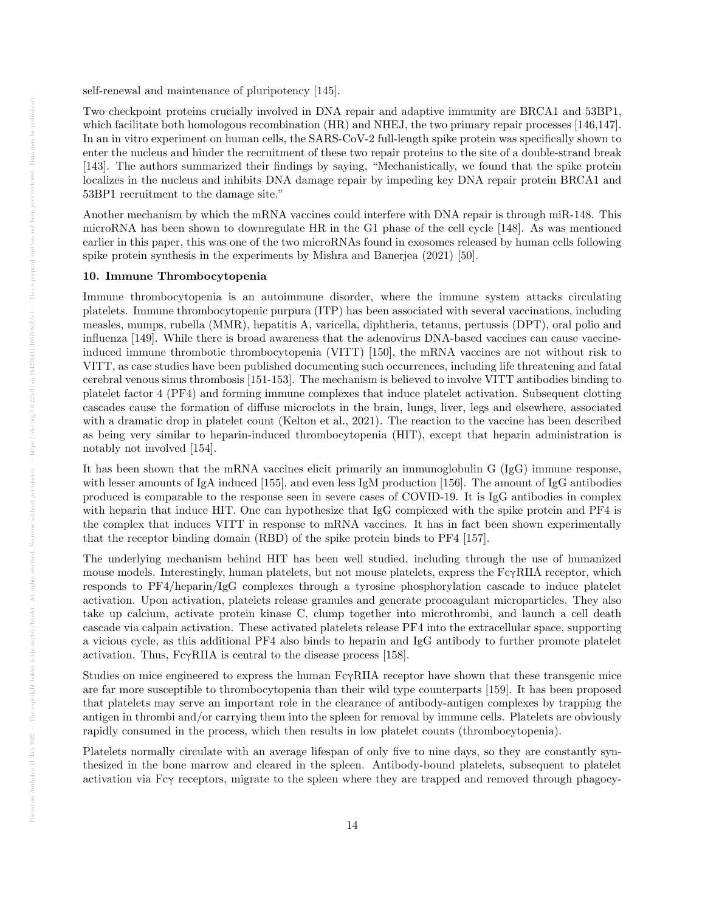self-renewal and maintenance of pluripotency [145].

Two checkpoint proteins crucially involved in DNA repair and adaptive immunity are BRCA1 and 53BP1, which facilitate both homologous recombination (HR) and NHEJ, the two primary repair processes [146,147]. In an in vitro experiment on human cells, the SARS-CoV-2 full-length spike protein was specifically shown to enter the nucleus and hinder the recruitment of these two repair proteins to the site of a double-strand break [143]. The authors summarized their findings by saying, "Mechanistically, we found that the spike protein localizes in the nucleus and inhibits DNA damage repair by impeding key DNA repair protein BRCA1 and 53BP1 recruitment to the damage site."

Another mechanism by which the mRNA vaccines could interfere with DNA repair is through miR-148. This microRNA has been shown to downregulate HR in the G1 phase of the cell cycle [148]. As was mentioned earlier in this paper, this was one of the two microRNAs found in exosomes released by human cells following spike protein synthesis in the experiments by Mishra and Banerjea (2021) [50].

#### 10. Immune Thrombocytopenia

Immune thrombocytopenia is an autoimmune disorder, where the immune system attacks circulating platelets. Immune thrombocytopenic purpura (ITP) has been associated with several vaccinations, including measles, mumps, rubella (MMR), hepatitis A, varicella, diphtheria, tetanus, pertussis (DPT), oral polio and influenza [149]. While there is broad awareness that the adenovirus DNA-based vaccines can cause vaccineinduced immune thrombotic thrombocytopenia (VITT) [150], the mRNA vaccines are not without risk to VITT, as case studies have been published documenting such occurrences, including life threatening and fatal cerebral venous sinus thrombosis [151-153]. The mechanism is believed to involve VITT antibodies binding to platelet factor 4 (PF4) and forming immune complexes that induce platelet activation. Subsequent clotting cascades cause the formation of diffuse microclots in the brain, lungs, liver, legs and elsewhere, associated with a dramatic drop in platelet count (Kelton et al., 2021). The reaction to the vaccine has been described as being very similar to heparin-induced thrombocytopenia (HIT), except that heparin administration is notably not involved [154].

It has been shown that the mRNA vaccines elicit primarily an immunoglobulin G (IgG) immune response, with lesser amounts of IgA induced [155], and even less IgM production [156]. The amount of IgG antibodies produced is comparable to the response seen in severe cases of COVID-19. It is IgG antibodies in complex with heparin that induce HIT. One can hypothesize that IgG complexed with the spike protein and PF4 is the complex that induces VITT in response to mRNA vaccines. It has in fact been shown experimentally that the receptor binding domain (RBD) of the spike protein binds to PF4 [157].

The underlying mechanism behind HIT has been well studied, including through the use of humanized mouse models. Interestingly, human platelets, but not mouse platelets, express the  $Fc\gamma RIIA$  receptor, which responds to PF4/heparin/IgG complexes through a tyrosine phosphorylation cascade to induce platelet activation. Upon activation, platelets release granules and generate procoagulant microparticles. They also take up calcium, activate protein kinase C, clump together into microthrombi, and launch a cell death cascade via calpain activation. These activated platelets release PF4 into the extracellular space, supporting a vicious cycle, as this additional PF4 also binds to heparin and IgG antibody to further promote platelet activation. Thus,  $Fc\gamma RIIA$  is central to the disease process [158].

Studies on mice engineered to express the human FcγRIIA receptor have shown that these transgenic mice are far more susceptible to thrombocytopenia than their wild type counterparts [159]. It has been proposed that platelets may serve an important role in the clearance of antibody-antigen complexes by trapping the antigen in thrombi and/or carrying them into the spleen for removal by immune cells. Platelets are obviously rapidly consumed in the process, which then results in low platelet counts (thrombocytopenia).

Platelets normally circulate with an average lifespan of only five to nine days, so they are constantly synthesized in the bone marrow and cleared in the spleen. Antibody-bound platelets, subsequent to platelet activation via Fcγ receptors, migrate to the spleen where they are trapped and removed through phagocy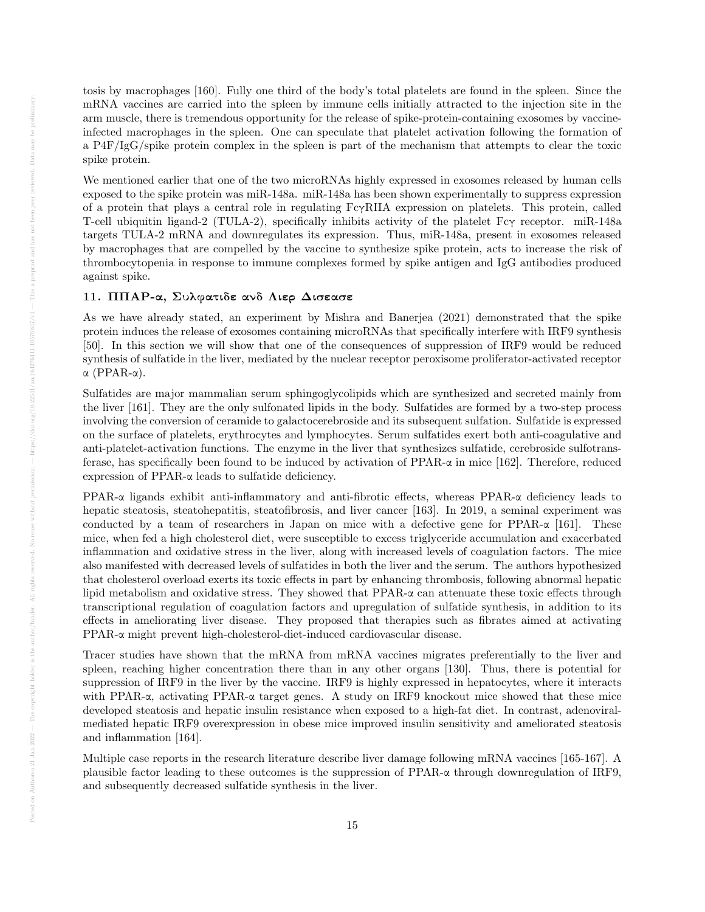tosis by macrophages [160]. Fully one third of the body's total platelets are found in the spleen. Since the mRNA vaccines are carried into the spleen by immune cells initially attracted to the injection site in the arm muscle, there is tremendous opportunity for the release of spike-protein-containing exosomes by vaccineinfected macrophages in the spleen. One can speculate that platelet activation following the formation of a P4F/IgG/spike protein complex in the spleen is part of the mechanism that attempts to clear the toxic spike protein.

We mentioned earlier that one of the two microRNAs highly expressed in exosomes released by human cells exposed to the spike protein was miR-148a. miR-148a has been shown experimentally to suppress expression of a protein that plays a central role in regulating FcγRIIA expression on platelets. This protein, called T-cell ubiquitin ligand-2 (TULA-2), specifically inhibits activity of the platelet Fcγ receptor. miR-148a targets TULA-2 mRNA and downregulates its expression. Thus, miR-148a, present in exosomes released by macrophages that are compelled by the vaccine to synthesize spike protein, acts to increase the risk of thrombocytopenia in response to immune complexes formed by spike antigen and IgG antibodies produced against spike.

# 11. ΠΠΑΡ-α, Συλφατιδε ανδ Λιερ Δισεασε

As we have already stated, an experiment by Mishra and Banerjea (2021) demonstrated that the spike protein induces the release of exosomes containing microRNAs that specifically interfere with IRF9 synthesis [50]. In this section we will show that one of the consequences of suppression of IRF9 would be reduced synthesis of sulfatide in the liver, mediated by the nuclear receptor peroxisome proliferator-activated receptor α (PPAR-α).

Sulfatides are major mammalian serum sphingoglycolipids which are synthesized and secreted mainly from the liver [161]. They are the only sulfonated lipids in the body. Sulfatides are formed by a two-step process involving the conversion of ceramide to galactocerebroside and its subsequent sulfation. Sulfatide is expressed on the surface of platelets, erythrocytes and lymphocytes. Serum sulfatides exert both anti-coagulative and anti-platelet-activation functions. The enzyme in the liver that synthesizes sulfatide, cerebroside sulfotransferase, has specifically been found to be induced by activation of PPAR-α in mice [162]. Therefore, reduced expression of PPAR-α leads to sulfatide deficiency.

PPAR-α ligands exhibit anti-inflammatory and anti-fibrotic effects, whereas PPAR-α deficiency leads to hepatic steatosis, steatohepatitis, steatofibrosis, and liver cancer [163]. In 2019, a seminal experiment was conducted by a team of researchers in Japan on mice with a defective gene for PPAR-α [161]. These mice, when fed a high cholesterol diet, were susceptible to excess triglyceride accumulation and exacerbated inflammation and oxidative stress in the liver, along with increased levels of coagulation factors. The mice also manifested with decreased levels of sulfatides in both the liver and the serum. The authors hypothesized that cholesterol overload exerts its toxic effects in part by enhancing thrombosis, following abnormal hepatic lipid metabolism and oxidative stress. They showed that  $PPAR-\alpha$  can attenuate these toxic effects through transcriptional regulation of coagulation factors and upregulation of sulfatide synthesis, in addition to its effects in ameliorating liver disease. They proposed that therapies such as fibrates aimed at activating PPAR-α might prevent high-cholesterol-diet-induced cardiovascular disease.

Tracer studies have shown that the mRNA from mRNA vaccines migrates preferentially to the liver and spleen, reaching higher concentration there than in any other organs [130]. Thus, there is potential for suppression of IRF9 in the liver by the vaccine. IRF9 is highly expressed in hepatocytes, where it interacts with PPAR-α, activating PPAR-α target genes. A study on IRF9 knockout mice showed that these mice developed steatosis and hepatic insulin resistance when exposed to a high-fat diet. In contrast, adenoviralmediated hepatic IRF9 overexpression in obese mice improved insulin sensitivity and ameliorated steatosis and inflammation [164].

Multiple case reports in the research literature describe liver damage following mRNA vaccines [165-167]. A plausible factor leading to these outcomes is the suppression of PPAR-α through downregulation of IRF9, and subsequently decreased sulfatide synthesis in the liver.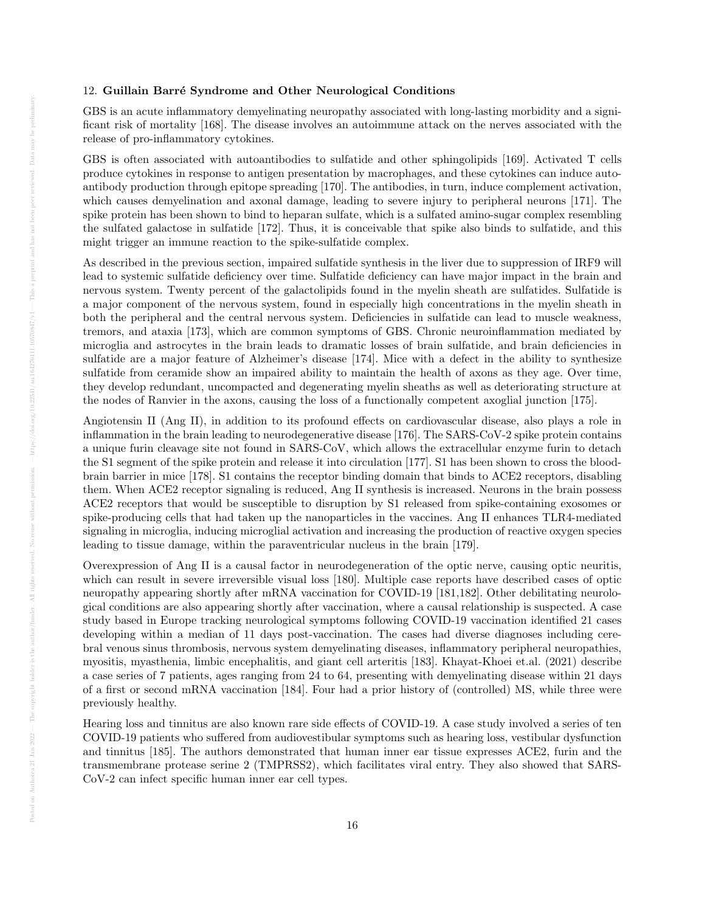#### 12. Guillain Barré Syndrome and Other Neurological Conditions

GBS is an acute inflammatory demyelinating neuropathy associated with long-lasting morbidity and a significant risk of mortality [168]. The disease involves an autoimmune attack on the nerves associated with the release of pro-inflammatory cytokines.

GBS is often associated with autoantibodies to sulfatide and other sphingolipids [169]. Activated T cells produce cytokines in response to antigen presentation by macrophages, and these cytokines can induce autoantibody production through epitope spreading [170]. The antibodies, in turn, induce complement activation, which causes demyelination and axonal damage, leading to severe injury to peripheral neurons [171]. The spike protein has been shown to bind to heparan sulfate, which is a sulfated amino-sugar complex resembling the sulfated galactose in sulfatide [172]. Thus, it is conceivable that spike also binds to sulfatide, and this might trigger an immune reaction to the spike-sulfatide complex.

As described in the previous section, impaired sulfatide synthesis in the liver due to suppression of IRF9 will lead to systemic sulfatide deficiency over time. Sulfatide deficiency can have major impact in the brain and nervous system. Twenty percent of the galactolipids found in the myelin sheath are sulfatides. Sulfatide is a major component of the nervous system, found in especially high concentrations in the myelin sheath in both the peripheral and the central nervous system. Deficiencies in sulfatide can lead to muscle weakness, tremors, and ataxia [173], which are common symptoms of GBS. Chronic neuroinflammation mediated by microglia and astrocytes in the brain leads to dramatic losses of brain sulfatide, and brain deficiencies in sulfatide are a major feature of Alzheimer's disease [174]. Mice with a defect in the ability to synthesize sulfatide from ceramide show an impaired ability to maintain the health of axons as they age. Over time, they develop redundant, uncompacted and degenerating myelin sheaths as well as deteriorating structure at the nodes of Ranvier in the axons, causing the loss of a functionally competent axoglial junction [175].

Angiotensin II (Ang II), in addition to its profound effects on cardiovascular disease, also plays a role in inflammation in the brain leading to neurodegenerative disease [176]. The SARS-CoV-2 spike protein contains a unique furin cleavage site not found in SARS-CoV, which allows the extracellular enzyme furin to detach the S1 segment of the spike protein and release it into circulation [177]. S1 has been shown to cross the bloodbrain barrier in mice [178]. S1 contains the receptor binding domain that binds to ACE2 receptors, disabling them. When ACE2 receptor signaling is reduced, Ang II synthesis is increased. Neurons in the brain possess ACE2 receptors that would be susceptible to disruption by S1 released from spike-containing exosomes or spike-producing cells that had taken up the nanoparticles in the vaccines. Ang II enhances TLR4-mediated signaling in microglia, inducing microglial activation and increasing the production of reactive oxygen species leading to tissue damage, within the paraventricular nucleus in the brain [179].

Overexpression of Ang II is a causal factor in neurodegeneration of the optic nerve, causing optic neuritis, which can result in severe irreversible visual loss [180]. Multiple case reports have described cases of optic neuropathy appearing shortly after mRNA vaccination for COVID-19 [181,182]. Other debilitating neurological conditions are also appearing shortly after vaccination, where a causal relationship is suspected. A case study based in Europe tracking neurological symptoms following COVID-19 vaccination identified 21 cases developing within a median of 11 days post-vaccination. The cases had diverse diagnoses including cerebral venous sinus thrombosis, nervous system demyelinating diseases, inflammatory peripheral neuropathies, myositis, myasthenia, limbic encephalitis, and giant cell arteritis [183]. Khayat-Khoei et.al. (2021) describe a case series of 7 patients, ages ranging from 24 to 64, presenting with demyelinating disease within 21 days of a first or second mRNA vaccination [184]. Four had a prior history of (controlled) MS, while three were previously healthy.

Hearing loss and tinnitus are also known rare side effects of COVID-19. A case study involved a series of ten COVID-19 patients who suffered from audiovestibular symptoms such as hearing loss, vestibular dysfunction and tinnitus [185]. The authors demonstrated that human inner ear tissue expresses ACE2, furin and the transmembrane protease serine 2 (TMPRSS2), which facilitates viral entry. They also showed that SARS-CoV-2 can infect specific human inner ear cell types.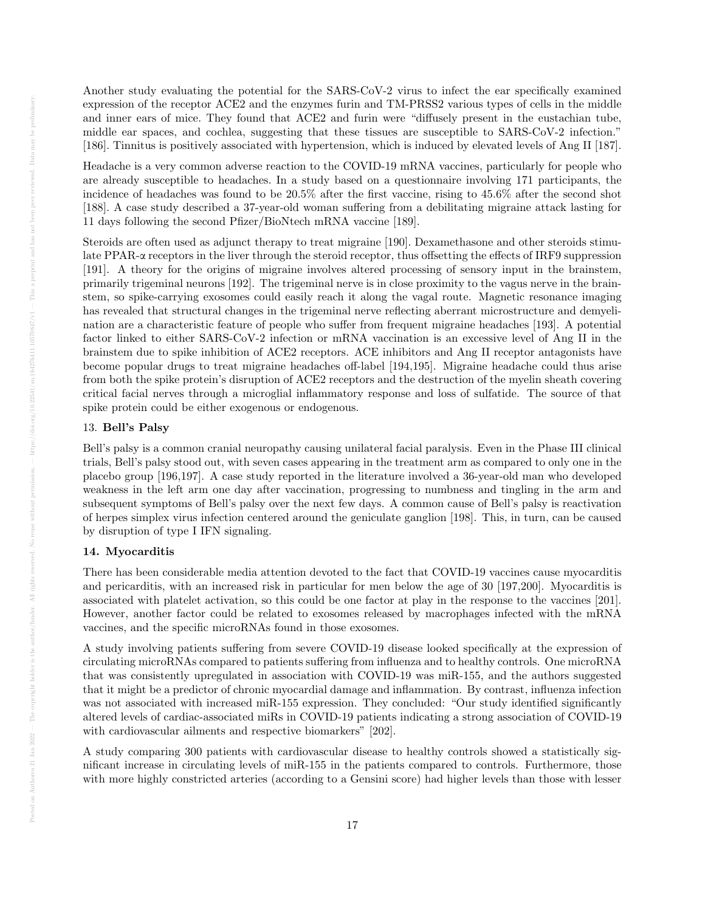Another study evaluating the potential for the SARS-CoV-2 virus to infect the ear specifically examined expression of the receptor ACE2 and the enzymes furin and TM-PRSS2 various types of cells in the middle and inner ears of mice. They found that ACE2 and furin were "diffusely present in the eustachian tube, middle ear spaces, and cochlea, suggesting that these tissues are susceptible to SARS-CoV-2 infection." [186]. Tinnitus is positively associated with hypertension, which is induced by elevated levels of Ang II [187].

Headache is a very common adverse reaction to the COVID-19 mRNA vaccines, particularly for people who are already susceptible to headaches. In a study based on a questionnaire involving 171 participants, the incidence of headaches was found to be 20.5% after the first vaccine, rising to 45.6% after the second shot [188]. A case study described a 37-year-old woman suffering from a debilitating migraine attack lasting for 11 days following the second Pfizer/BioNtech mRNA vaccine [189].

Steroids are often used as adjunct therapy to treat migraine [190]. Dexamethasone and other steroids stimulate PPAR-α receptors in the liver through the steroid receptor, thus offsetting the effects of IRF9 suppression [191]. A theory for the origins of migraine involves altered processing of sensory input in the brainstem, primarily trigeminal neurons [192]. The trigeminal nerve is in close proximity to the vagus nerve in the brainstem, so spike-carrying exosomes could easily reach it along the vagal route. Magnetic resonance imaging has revealed that structural changes in the trigeminal nerve reflecting aberrant microstructure and demyelination are a characteristic feature of people who suffer from frequent migraine headaches [193]. A potential factor linked to either SARS-CoV-2 infection or mRNA vaccination is an excessive level of Ang II in the brainstem due to spike inhibition of ACE2 receptors. ACE inhibitors and Ang II receptor antagonists have become popular drugs to treat migraine headaches off-label [194,195]. Migraine headache could thus arise from both the spike protein's disruption of ACE2 receptors and the destruction of the myelin sheath covering critical facial nerves through a microglial inflammatory response and loss of sulfatide. The source of that spike protein could be either exogenous or endogenous.

## 13. Bell's Palsy

Bell's palsy is a common cranial neuropathy causing unilateral facial paralysis. Even in the Phase III clinical trials, Bell's palsy stood out, with seven cases appearing in the treatment arm as compared to only one in the placebo group [196,197]. A case study reported in the literature involved a 36-year-old man who developed weakness in the left arm one day after vaccination, progressing to numbness and tingling in the arm and subsequent symptoms of Bell's palsy over the next few days. A common cause of Bell's palsy is reactivation of herpes simplex virus infection centered around the geniculate ganglion [198]. This, in turn, can be caused by disruption of type I IFN signaling.

# 14. Myocarditis

There has been considerable media attention devoted to the fact that COVID-19 vaccines cause myocarditis and pericarditis, with an increased risk in particular for men below the age of 30 [197,200]. Myocarditis is associated with platelet activation, so this could be one factor at play in the response to the vaccines [201]. However, another factor could be related to exosomes released by macrophages infected with the mRNA vaccines, and the specific microRNAs found in those exosomes.

A study involving patients suffering from severe COVID-19 disease looked specifically at the expression of circulating microRNAs compared to patients suffering from influenza and to healthy controls. One microRNA that was consistently upregulated in association with COVID-19 was miR-155, and the authors suggested that it might be a predictor of chronic myocardial damage and inflammation. By contrast, influenza infection was not associated with increased miR-155 expression. They concluded: "Our study identified significantly altered levels of cardiac-associated miRs in COVID-19 patients indicating a strong association of COVID-19 with cardiovascular ailments and respective biomarkers" [202].

A study comparing 300 patients with cardiovascular disease to healthy controls showed a statistically significant increase in circulating levels of miR-155 in the patients compared to controls. Furthermore, those with more highly constricted arteries (according to a Gensini score) had higher levels than those with lesser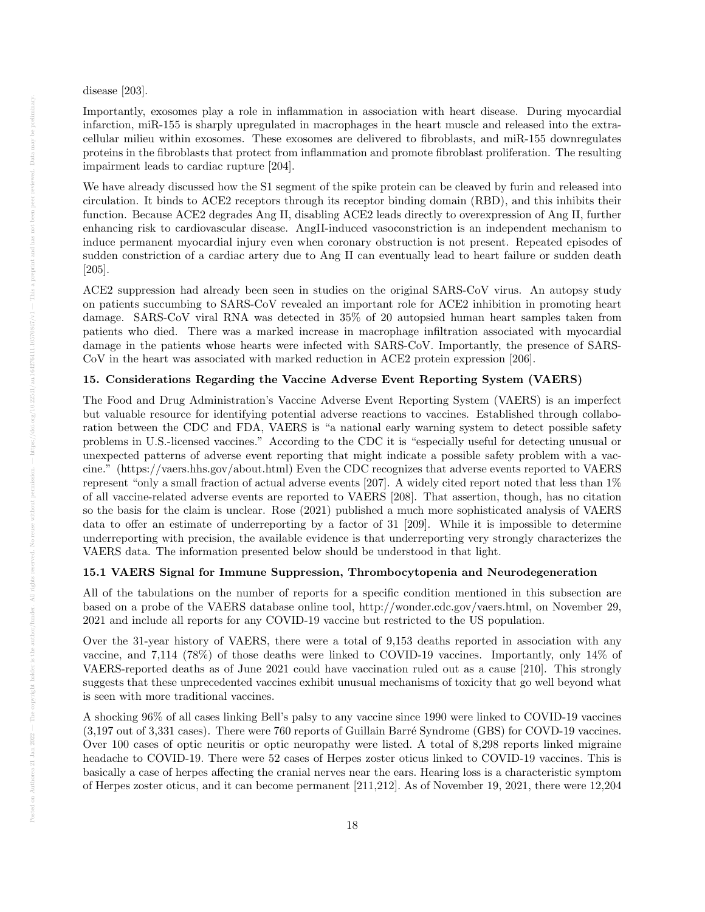disease [203].

Importantly, exosomes play a role in inflammation in association with heart disease. During myocardial infarction, miR-155 is sharply upregulated in macrophages in the heart muscle and released into the extracellular milieu within exosomes. These exosomes are delivered to fibroblasts, and miR-155 downregulates proteins in the fibroblasts that protect from inflammation and promote fibroblast proliferation. The resulting impairment leads to cardiac rupture [204].

We have already discussed how the S1 segment of the spike protein can be cleaved by furin and released into circulation. It binds to ACE2 receptors through its receptor binding domain (RBD), and this inhibits their function. Because ACE2 degrades Ang II, disabling ACE2 leads directly to overexpression of Ang II, further enhancing risk to cardiovascular disease. AngII-induced vasoconstriction is an independent mechanism to induce permanent myocardial injury even when coronary obstruction is not present. Repeated episodes of sudden constriction of a cardiac artery due to Ang II can eventually lead to heart failure or sudden death [205].

ACE2 suppression had already been seen in studies on the original SARS-CoV virus. An autopsy study on patients succumbing to SARS-CoV revealed an important role for ACE2 inhibition in promoting heart damage. SARS-CoV viral RNA was detected in 35% of 20 autopsied human heart samples taken from patients who died. There was a marked increase in macrophage infiltration associated with myocardial damage in the patients whose hearts were infected with SARS-CoV. Importantly, the presence of SARS-CoV in the heart was associated with marked reduction in ACE2 protein expression [206].

# 15. Considerations Regarding the Vaccine Adverse Event Reporting System (VAERS)

The Food and Drug Administration's Vaccine Adverse Event Reporting System (VAERS) is an imperfect but valuable resource for identifying potential adverse reactions to vaccines. Established through collaboration between the CDC and FDA, VAERS is "a national early warning system to detect possible safety problems in U.S.-licensed vaccines." According to the CDC it is "especially useful for detecting unusual or unexpected patterns of adverse event reporting that might indicate a possible safety problem with a vaccine." (https://vaers.hhs.gov/about.html) Even the CDC recognizes that adverse events reported to VAERS represent "only a small fraction of actual adverse events [207]. A widely cited report noted that less than 1% of all vaccine-related adverse events are reported to VAERS [208]. That assertion, though, has no citation so the basis for the claim is unclear. Rose (2021) published a much more sophisticated analysis of VAERS data to offer an estimate of underreporting by a factor of 31 [209]. While it is impossible to determine underreporting with precision, the available evidence is that underreporting very strongly characterizes the VAERS data. The information presented below should be understood in that light.

# 15.1 VAERS Signal for Immune Suppression, Thrombocytopenia and Neurodegeneration

All of the tabulations on the number of reports for a specific condition mentioned in this subsection are based on a probe of the VAERS database online tool, http://wonder.cdc.gov/vaers.html, on November 29, 2021 and include all reports for any COVID-19 vaccine but restricted to the US population.

Over the 31-year history of VAERS, there were a total of 9,153 deaths reported in association with any vaccine, and 7,114 (78%) of those deaths were linked to COVID-19 vaccines. Importantly, only 14% of VAERS-reported deaths as of June 2021 could have vaccination ruled out as a cause [210]. This strongly suggests that these unprecedented vaccines exhibit unusual mechanisms of toxicity that go well beyond what is seen with more traditional vaccines.

A shocking 96% of all cases linking Bell's palsy to any vaccine since 1990 were linked to COVID-19 vaccines (3,197 out of 3,331 cases). There were 760 reports of Guillain Barré Syndrome (GBS) for COVD-19 vaccines. Over 100 cases of optic neuritis or optic neuropathy were listed. A total of 8,298 reports linked migraine headache to COVID-19. There were 52 cases of Herpes zoster oticus linked to COVID-19 vaccines. This is basically a case of herpes affecting the cranial nerves near the ears. Hearing loss is a characteristic symptom of Herpes zoster oticus, and it can become permanent [211,212]. As of November 19, 2021, there were 12,204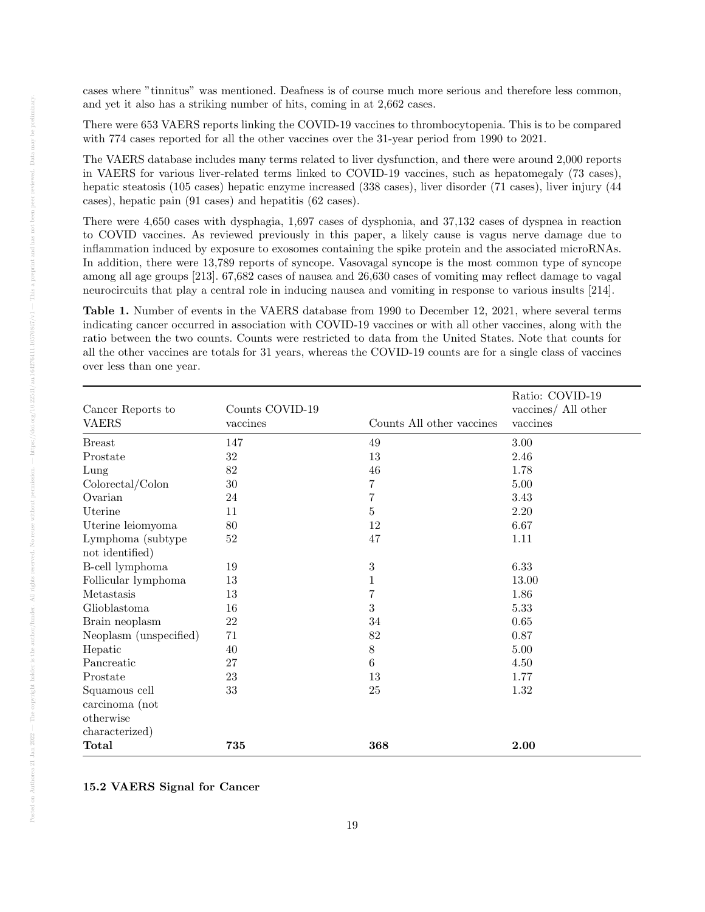cases where "tinnitus" was mentioned. Deafness is of course much more serious and therefore less common, and yet it also has a striking number of hits, coming in at 2,662 cases.

There were 653 VAERS reports linking the COVID-19 vaccines to thrombocytopenia. This is to be compared with 774 cases reported for all the other vaccines over the 31-year period from 1990 to 2021.

The VAERS database includes many terms related to liver dysfunction, and there were around 2,000 reports in VAERS for various liver-related terms linked to COVID-19 vaccines, such as hepatomegaly (73 cases), hepatic steatosis (105 cases) hepatic enzyme increased (338 cases), liver disorder (71 cases), liver injury (44 cases), hepatic pain (91 cases) and hepatitis (62 cases).

There were 4,650 cases with dysphagia, 1,697 cases of dysphonia, and 37,132 cases of dyspnea in reaction to COVID vaccines. As reviewed previously in this paper, a likely cause is vagus nerve damage due to inflammation induced by exposure to exosomes containing the spike protein and the associated microRNAs. In addition, there were 13,789 reports of syncope. Vasovagal syncope is the most common type of syncope among all age groups [213]. 67,682 cases of nausea and 26,630 cases of vomiting may reflect damage to vagal neurocircuits that play a central role in inducing nausea and vomiting in response to various insults [214].

Table 1. Number of events in the VAERS database from 1990 to December 12, 2021, where several terms indicating cancer occurred in association with COVID-19 vaccines or with all other vaccines, along with the ratio between the two counts. Counts were restricted to data from the United States. Note that counts for all the other vaccines are totals for 31 years, whereas the COVID-19 counts are for a single class of vaccines over less than one year.

|                        |                 |                           | Ratio: COVID-19     |
|------------------------|-----------------|---------------------------|---------------------|
| Cancer Reports to      | Counts COVID-19 |                           | vaccines/ All other |
| <b>VAERS</b>           | vaccines        | Counts All other vaccines | vaccines            |
| <b>Breast</b>          | 147             | 49                        | 3.00                |
| Prostate               | $32\,$          | 13                        | 2.46                |
| Lung                   | $82\,$          | 46                        | 1.78                |
| Colorectal/Colon       | 30              | 7                         | 5.00                |
| Ovarian                | 24              | $\overline{7}$            | 3.43                |
| Uterine                | 11              | $\bf 5$                   | 2.20                |
| Uterine leiomyoma      | 80              | 12                        | 6.67                |
| Lymphoma (subtype      | $52\,$          | 47                        | 1.11                |
| not identified)        |                 |                           |                     |
| B-cell lymphoma        | 19              | $\sqrt{3}$                | 6.33                |
| Follicular lymphoma    | $13\,$          | $\mathbf{1}$              | 13.00               |
| Metastasis             | 13              | $\overline{7}$            | 1.86                |
| Glioblastoma           | 16              | 3                         | 5.33                |
| Brain neoplasm         | 22              | 34                        | 0.65                |
| Neoplasm (unspecified) | 71              | 82                        | 0.87                |
| ${\mbox{Hepatic}}$     | 40              | $8\,$                     | 5.00                |
| Pancreatic             | 27              | $6\phantom{.}6$           | 4.50                |
| Prostate               | 23              | 13                        | 1.77                |
| Squamous cell          | 33              | 25                        | 1.32                |
| carcinoma (not         |                 |                           |                     |
| otherwise              |                 |                           |                     |
| characterized)         |                 |                           |                     |
| <b>Total</b>           | 735             | 368                       | 2.00                |

15.2 VAERS Signal for Cancer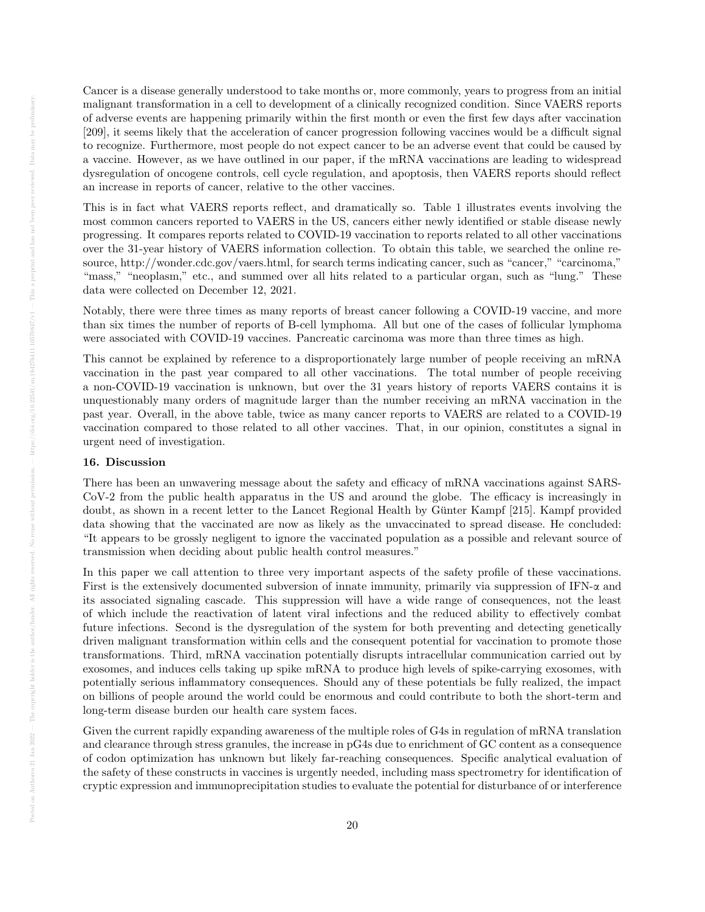Cancer is a disease generally understood to take months or, more commonly, years to progress from an initial malignant transformation in a cell to development of a clinically recognized condition. Since VAERS reports of adverse events are happening primarily within the first month or even the first few days after vaccination [209], it seems likely that the acceleration of cancer progression following vaccines would be a difficult signal to recognize. Furthermore, most people do not expect cancer to be an adverse event that could be caused by a vaccine. However, as we have outlined in our paper, if the mRNA vaccinations are leading to widespread dysregulation of oncogene controls, cell cycle regulation, and apoptosis, then VAERS reports should reflect an increase in reports of cancer, relative to the other vaccines.

This is in fact what VAERS reports reflect, and dramatically so. Table 1 illustrates events involving the most common cancers reported to VAERS in the US, cancers either newly identified or stable disease newly progressing. It compares reports related to COVID-19 vaccination to reports related to all other vaccinations over the 31-year history of VAERS information collection. To obtain this table, we searched the online resource, http://wonder.cdc.gov/vaers.html, for search terms indicating cancer, such as "cancer," "carcinoma," "mass," "neoplasm," etc., and summed over all hits related to a particular organ, such as "lung." These data were collected on December 12, 2021.

Notably, there were three times as many reports of breast cancer following a COVID-19 vaccine, and more than six times the number of reports of B-cell lymphoma. All but one of the cases of follicular lymphoma were associated with COVID-19 vaccines. Pancreatic carcinoma was more than three times as high.

This cannot be explained by reference to a disproportionately large number of people receiving an mRNA vaccination in the past year compared to all other vaccinations. The total number of people receiving a non-COVID-19 vaccination is unknown, but over the 31 years history of reports VAERS contains it is unquestionably many orders of magnitude larger than the number receiving an mRNA vaccination in the past year. Overall, in the above table, twice as many cancer reports to VAERS are related to a COVID-19 vaccination compared to those related to all other vaccines. That, in our opinion, constitutes a signal in urgent need of investigation.

## 16. Discussion

There has been an unwavering message about the safety and efficacy of mRNA vaccinations against SARS-CoV-2 from the public health apparatus in the US and around the globe. The efficacy is increasingly in doubt, as shown in a recent letter to the Lancet Regional Health by Günter Kampf [215]. Kampf provided data showing that the vaccinated are now as likely as the unvaccinated to spread disease. He concluded: "It appears to be grossly negligent to ignore the vaccinated population as a possible and relevant source of transmission when deciding about public health control measures."

In this paper we call attention to three very important aspects of the safety profile of these vaccinations. First is the extensively documented subversion of innate immunity, primarily via suppression of IFN-α and its associated signaling cascade. This suppression will have a wide range of consequences, not the least of which include the reactivation of latent viral infections and the reduced ability to effectively combat future infections. Second is the dysregulation of the system for both preventing and detecting genetically driven malignant transformation within cells and the consequent potential for vaccination to promote those transformations. Third, mRNA vaccination potentially disrupts intracellular communication carried out by exosomes, and induces cells taking up spike mRNA to produce high levels of spike-carrying exosomes, with potentially serious inflammatory consequences. Should any of these potentials be fully realized, the impact on billions of people around the world could be enormous and could contribute to both the short-term and long-term disease burden our health care system faces.

Given the current rapidly expanding awareness of the multiple roles of G4s in regulation of mRNA translation and clearance through stress granules, the increase in pG4s due to enrichment of GC content as a consequence of codon optimization has unknown but likely far-reaching consequences. Specific analytical evaluation of the safety of these constructs in vaccines is urgently needed, including mass spectrometry for identification of cryptic expression and immunoprecipitation studies to evaluate the potential for disturbance of or interference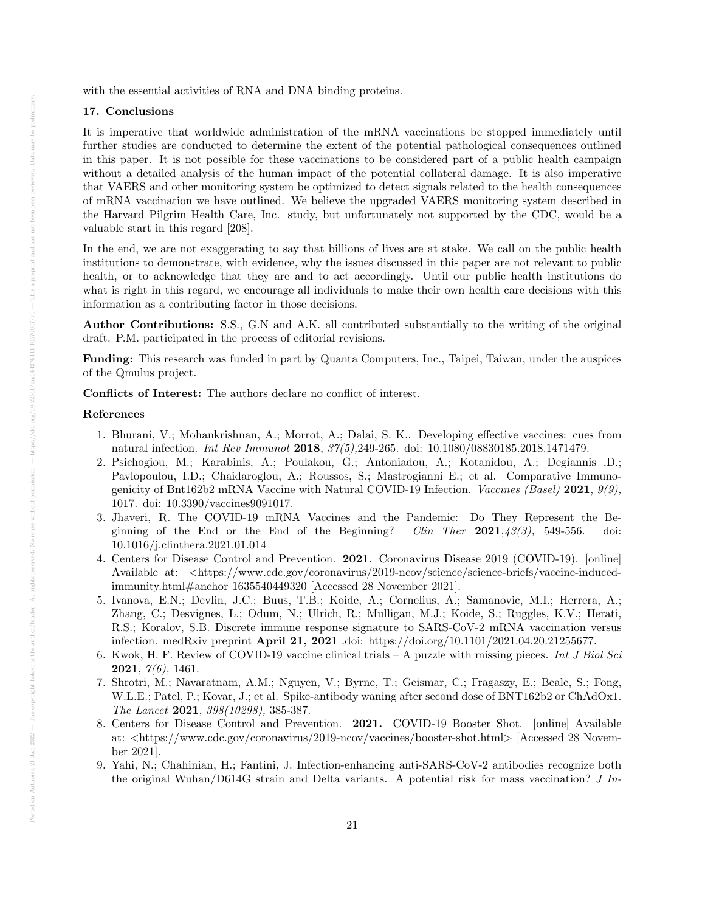with the essential activities of RNA and DNA binding proteins.

### 17. Conclusions

It is imperative that worldwide administration of the mRNA vaccinations be stopped immediately until further studies are conducted to determine the extent of the potential pathological consequences outlined in this paper. It is not possible for these vaccinations to be considered part of a public health campaign without a detailed analysis of the human impact of the potential collateral damage. It is also imperative that VAERS and other monitoring system be optimized to detect signals related to the health consequences of mRNA vaccination we have outlined. We believe the upgraded VAERS monitoring system described in the Harvard Pilgrim Health Care, Inc. study, but unfortunately not supported by the CDC, would be a valuable start in this regard [208].

In the end, we are not exaggerating to say that billions of lives are at stake. We call on the public health institutions to demonstrate, with evidence, why the issues discussed in this paper are not relevant to public health, or to acknowledge that they are and to act accordingly. Until our public health institutions do what is right in this regard, we encourage all individuals to make their own health care decisions with this information as a contributing factor in those decisions.

Author Contributions: S.S., G.N and A.K. all contributed substantially to the writing of the original draft. P.M. participated in the process of editorial revisions.

Funding: This research was funded in part by Quanta Computers, Inc., Taipei, Taiwan, under the auspices of the Qmulus project.

Conflicts of Interest: The authors declare no conflict of interest.

#### References

- 1. Bhurani, V.; Mohankrishnan, A.; Morrot, A.; Dalai, S. K.. Developing effective vaccines: cues from natural infection. Int Rev Immunol 2018, 37(5),249-265. doi: 10.1080/08830185.2018.1471479.
- 2. Psichogiou, M.; Karabinis, A.; Poulakou, G.; Antoniadou, A.; Kotanidou, A.; Degiannis ,D.; Pavlopoulou, I.D.; Chaidaroglou, A.; Roussos, S.; Mastrogianni E.; et al. Comparative Immunogenicity of Bnt162b2 mRNA Vaccine with Natural COVID-19 Infection. Vaccines (Basel) 2021, 9(9), 1017. doi: 10.3390/vaccines9091017.
- 3. Jhaveri, R. The COVID-19 mRNA Vaccines and the Pandemic: Do They Represent the Beginning of the End or the End of the Beginning? Clin Ther  $2021,43(3)$ , 549-556. doi: 10.1016/j.clinthera.2021.01.014
- 4. Centers for Disease Control and Prevention. 2021. Coronavirus Disease 2019 (COVID-19). [online] Available at: <https://www.cdc.gov/coronavirus/2019-ncov/science/science-briefs/vaccine-inducedimmunity.html#anchor 1635540449320 [Accessed 28 November 2021].
- 5. Ivanova, E.N.; Devlin, J.C.; Buus, T.B.; Koide, A.; Cornelius, A.; Samanovic, M.I.; Herrera, A.; Zhang, C.; Desvignes, L.; Odum, N.; Ulrich, R.; Mulligan, M.J.; Koide, S.; Ruggles, K.V.; Herati, R.S.; Koralov, S.B. Discrete immune response signature to SARS-CoV-2 mRNA vaccination versus infection. medRxiv preprint April 21, 2021 .doi: https://doi.org/10.1101/2021.04.20.21255677.
- 6. Kwok, H. F. Review of COVID-19 vaccine clinical trials  $A$  puzzle with missing pieces. Int J Biol Sci **2021**,  $7(6)$ , 1461.
- 7. Shrotri, M.; Navaratnam, A.M.; Nguyen, V.; Byrne, T.; Geismar, C.; Fragaszy, E.; Beale, S.; Fong, W.L.E.; Patel, P.; Kovar, J.; et al. Spike-antibody waning after second dose of BNT162b2 or ChAdOx1. The Lancet 2021, 398(10298), 385-387.
- 8. Centers for Disease Control and Prevention. 2021. COVID-19 Booster Shot. [online] Available at: <https://www.cdc.gov/coronavirus/2019-ncov/vaccines/booster-shot.html> [Accessed 28 November 2021].
- 9. Yahi, N.; Chahinian, H.; Fantini, J. Infection-enhancing anti-SARS-CoV-2 antibodies recognize both the original Wuhan/D614G strain and Delta variants. A potential risk for mass vaccination? J In-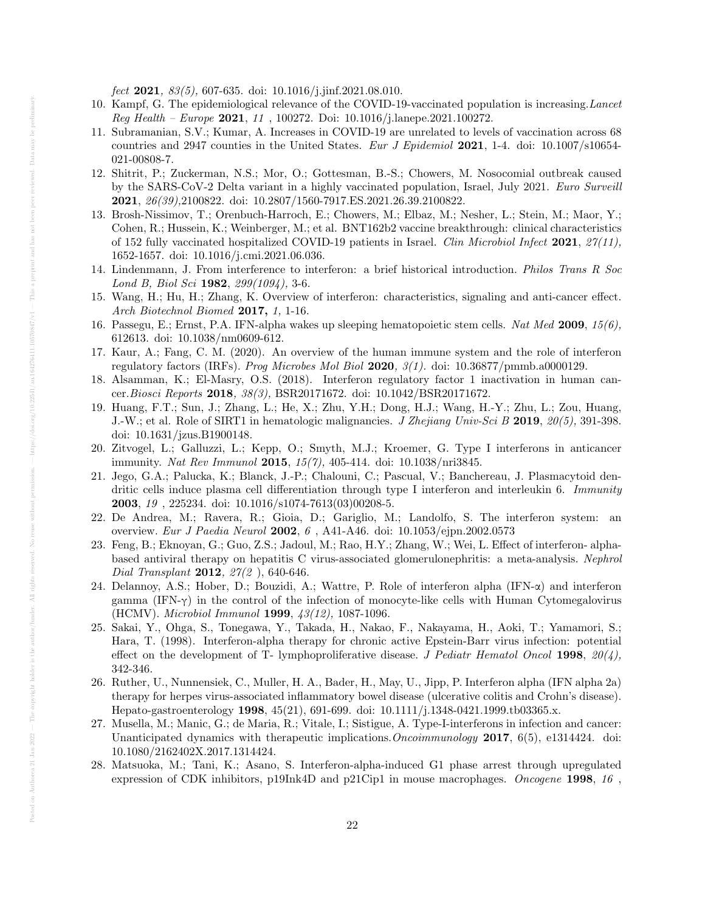fect **2021**,  $83(5)$ , 607-635. doi:  $10.1016/i$ ,  $\text{imf.2021.08.010}$ .

- 10. Kampf, G. The epidemiological relevance of the COVID-19-vaccinated population is increasing.Lancet  $\textit{Req Health} - \textit{Europe } 2021, 11, 100272. \text{ Doi: } 10.1016 / \text{i.lanepe.} 2021.100272.$
- 11. Subramanian, S.V.; Kumar, A. Increases in COVID-19 are unrelated to levels of vaccination across 68 countries and 2947 counties in the United States. Eur J Epidemiol 2021, 1-4. doi:  $10.1007 \div 10.654$ -021-00808-7.
- 12. Shitrit, P.; Zuckerman, N.S.; Mor, O.; Gottesman, B.-S.; Chowers, M. Nosocomial outbreak caused by the SARS-CoV-2 Delta variant in a highly vaccinated population, Israel, July 2021. Euro Surveill 2021, 26(39),2100822. doi: 10.2807/1560-7917.ES.2021.26.39.2100822.
- 13. Brosh-Nissimov, T.; Orenbuch-Harroch, E.; Chowers, M.; Elbaz, M.; Nesher, L.; Stein, M.; Maor, Y.; Cohen, R.; Hussein, K.; Weinberger, M.; et al. BNT162b2 vaccine breakthrough: clinical characteristics of 152 fully vaccinated hospitalized COVID-19 patients in Israel. Clin Microbiol Infect 2021,  $27(11)$ , 1652-1657. doi: 10.1016/j.cmi.2021.06.036.
- 14. Lindenmann, J. From interference to interferon: a brief historical introduction. Philos Trans R Soc Lond B, Biol Sci 1982, 299(1094), 3-6.
- 15. Wang, H.; Hu, H.; Zhang, K. Overview of interferon: characteristics, signaling and anti-cancer effect. Arch Biotechnol Biomed 2017, 1, 1-16.
- 16. Passegu, E.; Ernst, P.A. IFN-alpha wakes up sleeping hematopoietic stem cells. Nat Med 2009,  $15(6)$ , 612613. doi: 10.1038/nm0609-612.
- 17. Kaur, A.; Fang, C. M. (2020). An overview of the human immune system and the role of interferon regulatory factors (IRFs). Prog Microbes Mol Biol 2020, 3(1). doi: 10.36877/pmmb.a0000129.
- 18. Alsamman, K.; El-Masry, O.S. (2018). Interferon regulatory factor 1 inactivation in human cancer.Biosci Reports 2018, 38(3), BSR20171672. doi: 10.1042/BSR20171672.
- 19. Huang, F.T.; Sun, J.; Zhang, L.; He, X.; Zhu, Y.H.; Dong, H.J.; Wang, H.-Y.; Zhu, L.; Zou, Huang, J.-W.; et al. Role of SIRT1 in hematologic malignancies. J Zhejiang Univ-Sci B 2019, 20(5), 391-398. doi: 10.1631/jzus.B1900148.
- 20. Zitvogel, L.; Galluzzi, L.; Kepp, O.; Smyth, M.J.; Kroemer, G. Type I interferons in anticancer immunity. Nat Rev Immunol 2015, 15(7), 405-414. doi: 10.1038/nri3845.
- 21. Jego, G.A.; Palucka, K.; Blanck, J.-P.; Chalouni, C.; Pascual, V.; Banchereau, J. Plasmacytoid dendritic cells induce plasma cell differentiation through type I interferon and interleukin 6. Immunity 2003, 19 , 225234. doi: 10.1016/s1074-7613(03)00208-5.
- 22. De Andrea, M.; Ravera, R.; Gioia, D.; Gariglio, M.; Landolfo, S. The interferon system: an overview. Eur J Paedia Neurol 2002, 6 , A41-A46. doi: 10.1053/ejpn.2002.0573
- 23. Feng, B.; Eknoyan, G.; Guo, Z.S.; Jadoul, M.; Rao, H.Y.; Zhang, W.; Wei, L. Effect of interferon- alphabased antiviral therapy on hepatitis C virus-associated glomerulonephritis: a meta-analysis. Nephrol Dial Transplant 2012, 27(2), 640-646.
- 24. Delannoy, A.S.; Hober, D.; Bouzidi, A.; Wattre, P. Role of interferon alpha (IFN-α) and interferon gamma (IFN- $\gamma$ ) in the control of the infection of monocyte-like cells with Human Cytomegalovirus (HCMV). Microbiol Immunol 1999, 43(12), 1087-1096.
- 25. Sakai, Y., Ohga, S., Tonegawa, Y., Takada, H., Nakao, F., Nakayama, H., Aoki, T.; Yamamori, S.; Hara, T. (1998). Interferon-alpha therapy for chronic active Epstein-Barr virus infection: potential effect on the development of T- lymphoproliferative disease. J Pediatr Hematol Oncol 1998,  $20(4)$ , 342-346.
- 26. Ruther, U., Nunnensiek, C., Muller, H. A., Bader, H., May, U., Jipp, P. Interferon alpha (IFN alpha 2a) therapy for herpes virus-associated inflammatory bowel disease (ulcerative colitis and Crohn's disease). Hepato-gastroenterology 1998, 45(21), 691-699. doi: 10.1111/j.1348-0421.1999.tb03365.x.
- 27. Musella, M.; Manic, G.; de Maria, R.; Vitale, I.; Sistigue, A. Type-I-interferons in infection and cancer: Unanticipated dynamics with therapeutic implications.*Oncoimmunology* 2017, 6(5), e1314424. doi: 10.1080/2162402X.2017.1314424.
- 28. Matsuoka, M.; Tani, K.; Asano, S. Interferon-alpha-induced G1 phase arrest through upregulated expression of CDK inhibitors, p19Ink4D and p21Cip1 in mouse macrophages. Oncogene 1998, 16,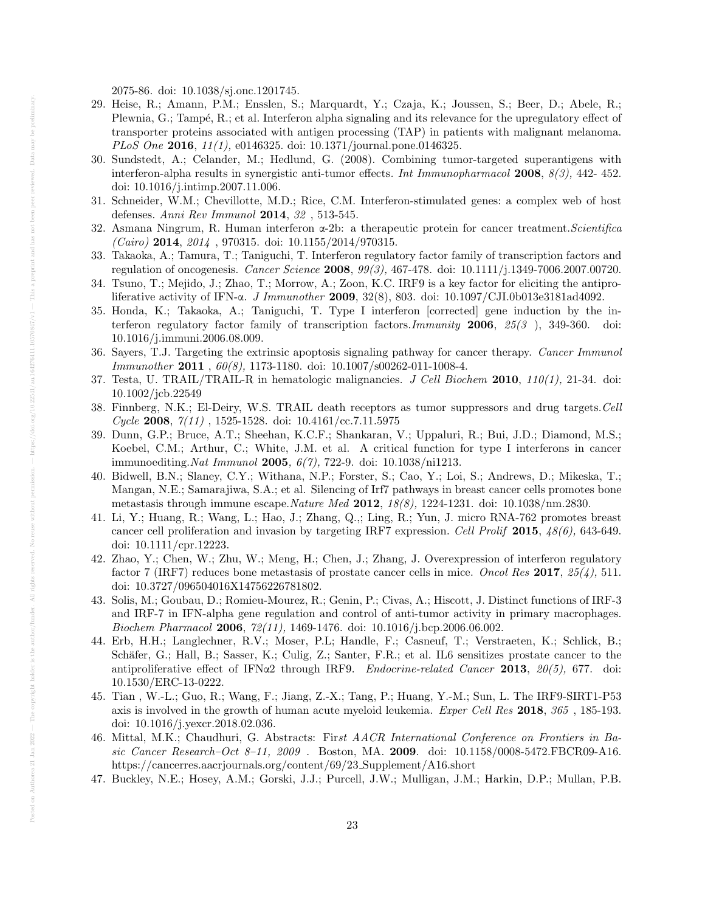2075-86. doi: 10.1038/sj.onc.1201745.

- 29. Heise, R.; Amann, P.M.; Ensslen, S.; Marquardt, Y.; Czaja, K.; Joussen, S.; Beer, D.; Abele, R.; Plewnia, G.; Tampé, R.; et al. Interferon alpha signaling and its relevance for the upregulatory effect of transporter proteins associated with antigen processing (TAP) in patients with malignant melanoma. PLoS One 2016, 11(1), e0146325. doi: 10.1371/journal.pone.0146325.
- 30. Sundstedt, A.; Celander, M.; Hedlund, G. (2008). Combining tumor-targeted superantigens with interferon-alpha results in synergistic anti-tumor effects. Int Immunopharmacol 2008, 8(3), 442- 452. doi: 10.1016/j.intimp.2007.11.006.
- 31. Schneider, W.M.; Chevillotte, M.D.; Rice, C.M. Interferon-stimulated genes: a complex web of host defenses. Anni Rev Immunol 2014, 32 , 513-545.
- 32. Asmana Ningrum, R. Human interferon α-2b: a therapeutic protein for cancer treatment.Scientifica  $(Cairo)$  2014, 2014, 970315. doi: 10.1155/2014/970315.
- 33. Takaoka, A.; Tamura, T.; Taniguchi, T. Interferon regulatory factor family of transcription factors and regulation of oncogenesis. Cancer Science 2008, 99(3), 467-478. doi: 10.1111/j.1349-7006.2007.00720.
- 34. Tsuno, T.; Mejido, J.; Zhao, T.; Morrow, A.; Zoon, K.C. IRF9 is a key factor for eliciting the antiproliferative activity of IFN-α. J Immunother 2009, 32(8), 803. doi: 10.1097/CJI.0b013e3181ad4092.
- 35. Honda, K.; Takaoka, A.; Taniguchi, T. Type I interferon [corrected] gene induction by the interferon regulatory factor family of transcription factors.Immunity 2006, 25(3 ), 349-360. doi: 10.1016/j.immuni.2006.08.009.
- 36. Sayers, T.J. Targeting the extrinsic apoptosis signaling pathway for cancer therapy. Cancer Immunol Immunother 2011 , 60(8), 1173-1180. doi: 10.1007/s00262-011-1008-4.
- 37. Testa, U. TRAIL/TRAIL-R in hematologic malignancies. J Cell Biochem 2010,  $110(1)$ , 21-34. doi: 10.1002/jcb.22549
- 38. Finnberg, N.K.; El-Deiry, W.S. TRAIL death receptors as tumor suppressors and drug targets.Cell Cycle 2008,  $7(11)$ , 1525-1528. doi: 10.4161/cc.7.11.5975
- 39. Dunn, G.P.; Bruce, A.T.; Sheehan, K.C.F.; Shankaran, V.; Uppaluri, R.; Bui, J.D.; Diamond, M.S.; Koebel, C.M.; Arthur, C.; White, J.M. et al. A critical function for type I interferons in cancer immunoediting.Nat Immunol 2005, 6(7), 722-9. doi: 10.1038/ni1213.
- 40. Bidwell, B.N.; Slaney, C.Y.; Withana, N.P.; Forster, S.; Cao, Y.; Loi, S.; Andrews, D.; Mikeska, T.; Mangan, N.E.; Samarajiwa, S.A.; et al. Silencing of Irf7 pathways in breast cancer cells promotes bone metastasis through immune escape.Nature Med 2012, 18(8), 1224-1231. doi: 10.1038/nm.2830.
- 41. Li, Y.; Huang, R.; Wang, L.; Hao, J.; Zhang, Q.,; Ling, R.; Yun, J. micro RNA-762 promotes breast cancer cell proliferation and invasion by targeting IRF7 expression. Cell Prolif 2015, 48(6), 643-649. doi: 10.1111/cpr.12223.
- 42. Zhao, Y.; Chen, W.; Zhu, W.; Meng, H.; Chen, J.; Zhang, J. Overexpression of interferon regulatory factor 7 (IRF7) reduces bone metastasis of prostate cancer cells in mice. Oncol Res 2017,  $25/4$ , 511. doi: 10.3727/096504016X14756226781802.
- 43. Solis, M.; Goubau, D.; Romieu-Mourez, R.; Genin, P.; Civas, A.; Hiscott, J. Distinct functions of IRF-3 and IRF-7 in IFN-alpha gene regulation and control of anti-tumor activity in primary macrophages. Biochem Pharmacol 2006, 72(11), 1469-1476. doi: 10.1016/j.bcp.2006.06.002.
- 44. Erb, H.H.; Langlechner, R.V.; Moser, P.L; Handle, F.; Casneuf, T.; Verstraeten, K.; Schlick, B.; Schäfer, G.; Hall, B.; Sasser, K.; Culig, Z.; Santer, F.R.; et al. IL6 sensitizes prostate cancer to the antiproliferative effect of IFN $\alpha$ 2 through IRF9. *Endocrine-related Cancer* 2013, 20(5), 677. doi: 10.1530/ERC-13-0222.
- 45. Tian , W.-L.; Guo, R.; Wang, F.; Jiang, Z.-X.; Tang, P.; Huang, Y.-M.; Sun, L. The IRF9-SIRT1-P53 axis is involved in the growth of human acute myeloid leukemia. Exper Cell Res 2018, 365 , 185-193. doi: 10.1016/j.yexcr.2018.02.036.
- 46. Mittal, M.K.; Chaudhuri, G. Abstracts: First AACR International Conference on Frontiers in Basic Cancer Research–Oct 8-11, 2009 . Boston, MA. 2009. doi: 10.1158/0008-5472.FBCR09-A16. https://cancerres.aacrjournals.org/content/69/23 Supplement/A16.short
- 47. Buckley, N.E.; Hosey, A.M.; Gorski, J.J.; Purcell, J.W.; Mulligan, J.M.; Harkin, D.P.; Mullan, P.B.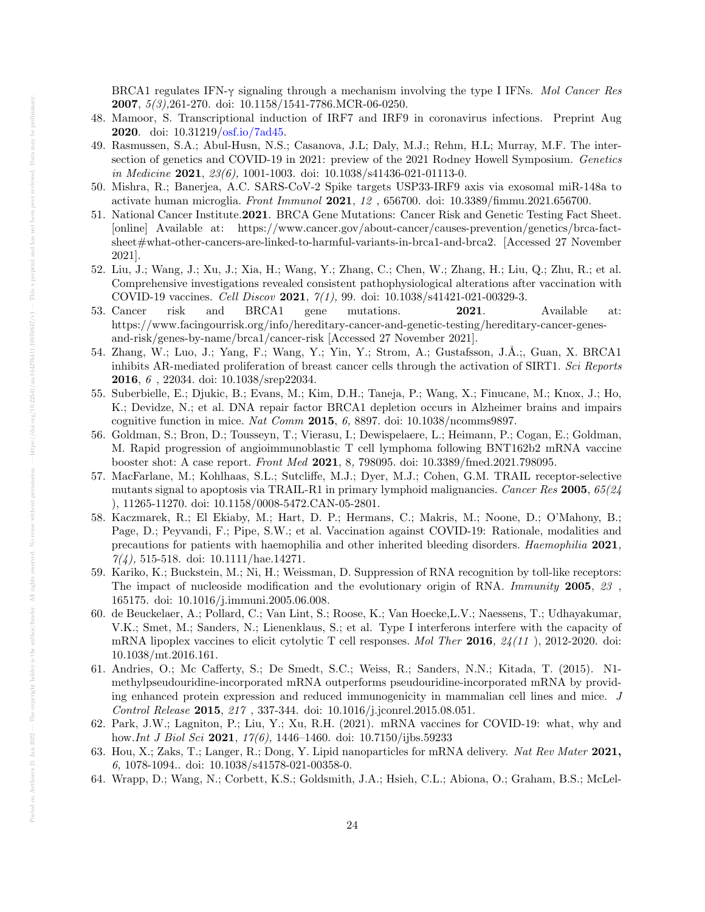BRCA1 regulates IFN-γ signaling through a mechanism involving the type I IFNs. Mol Cancer Res 2007, 5(3),261-270. doi: 10.1158/1541-7786.MCR-06-0250.

- 48. Mamoor, S. Transcriptional induction of IRF7 and IRF9 in coronavirus infections. Preprint Aug 2020. doi: 10.31219[/osf.io/7ad45.](http://osf.io/7ad45)
- 49. Rasmussen, S.A.; Abul-Husn, N.S.; Casanova, J.L; Daly, M.J.; Rehm, H.L; Murray, M.F. The intersection of genetics and COVID-19 in 2021: preview of the 2021 Rodney Howell Symposium. Genetics in Medicine 2021,  $23(6)$ , 1001-1003. doi: 10.1038/s41436-021-01113-0.
- 50. Mishra, R.; Banerjea, A.C. SARS-CoV-2 Spike targets USP33-IRF9 axis via exosomal miR-148a to activate human microglia. Front Immunol 2021, 12 , 656700. doi: 10.3389/fimmu.2021.656700.
- 51. National Cancer Institute.2021. BRCA Gene Mutations: Cancer Risk and Genetic Testing Fact Sheet. [online] Available at: https://www.cancer.gov/about-cancer/causes-prevention/genetics/brca-factsheet#what-other-cancers-are-linked-to-harmful-variants-in-brca1-and-brca2. [Accessed 27 November 2021].
- 52. Liu, J.; Wang, J.; Xu, J.; Xia, H.; Wang, Y.; Zhang, C.; Chen, W.; Zhang, H.; Liu, Q.; Zhu, R.; et al. Comprehensive investigations revealed consistent pathophysiological alterations after vaccination with COVID-19 vaccines. Cell Discov 2021,  $7(1)$ , 99. doi: 10.1038/s41421-021-00329-3.
- 53. Cancer risk and BRCA1 gene mutations. **2021**. Available at: https://www.facingourrisk.org/info/hereditary-cancer-and-genetic-testing/hereditary-cancer-genesand-risk/genes-by-name/brca1/cancer-risk [Accessed 27 November 2021].
- 54. Zhang, W.; Luo, J.; Yang, F.; Wang, Y.; Yin, Y.; Strom, A.; Gustafsson, J.À.;, Guan, X. BRCA1 inhibits AR-mediated proliferation of breast cancer cells through the activation of SIRT1. Sci Reports 2016, 6 , 22034. doi: 10.1038/srep22034.
- 55. Suberbielle, E.; Djukic, B.; Evans, M.; Kim, D.H.; Taneja, P.; Wang, X.; Finucane, M.; Knox, J.; Ho, K.; Devidze, N.; et al. DNA repair factor BRCA1 depletion occurs in Alzheimer brains and impairs cognitive function in mice. Nat Comm 2015, 6, 8897. doi:  $10.1038/n \text{comm}$
- 56. Goldman, S.; Bron, D.; Tousseyn, T.; Vierasu, I.; Dewispelaere, L.; Heimann, P.; Cogan, E.; Goldman, M. Rapid progression of angioimmunoblastic T cell lymphoma following BNT162b2 mRNA vaccine booster shot: A case report. Front Med 2021, 8, 798095. doi: 10.3389/fmed.2021.798095.
- 57. MacFarlane, M.; Kohlhaas, S.L.; Sutcliffe, M.J.; Dyer, M.J.; Cohen, G.M. TRAIL receptor-selective mutants signal to apoptosis via TRAIL-R1 in primary lymphoid malignancies. Cancer Res 2005, 65(24 ), 11265-11270. doi: 10.1158/0008-5472.CAN-05-2801.
- 58. Kaczmarek, R.; El Ekiaby, M.; Hart, D. P.; Hermans, C.; Makris, M.; Noone, D.; O'Mahony, B.; Page, D.; Peyvandi, F.; Pipe, S.W.; et al. Vaccination against COVID-19: Rationale, modalities and precautions for patients with haemophilia and other inherited bleeding disorders. Haemophilia 2021,  $7/4$ , 515-518. doi: 10.1111/hae.14271.
- 59. Kariko, K.; Buckstein, M.; Ni, H.; Weissman, D. Suppression of RNA recognition by toll-like receptors: The impact of nucleoside modification and the evolutionary origin of RNA. *Immunity* 2005, 23, 165175. doi: 10.1016/j.immuni.2005.06.008.
- 60. de Beuckelaer, A.; Pollard, C.; Van Lint, S.; Roose, K.; Van Hoecke,L.V.; Naessens, T.; Udhayakumar, V.K.; Smet, M.; Sanders, N.; Lienenklaus, S.; et al. Type I interferons interfere with the capacity of mRNA lipoplex vaccines to elicit cytolytic T cell responses. Mol Ther 2016,  $24(11)$ , 2012-2020. doi: 10.1038/mt.2016.161.
- 61. Andries, O.; Mc Cafferty, S.; De Smedt, S.C.; Weiss, R.; Sanders, N.N.; Kitada, T. (2015). N1 methylpseudouridine-incorporated mRNA outperforms pseudouridine-incorporated mRNA by providing enhanced protein expression and reduced immunogenicity in mammalian cell lines and mice. J Control Release 2015, 217 , 337-344. doi: 10.1016/j.jconrel.2015.08.051.
- 62. Park, J.W.; Lagniton, P.; Liu, Y.; Xu, R.H. (2021). mRNA vaccines for COVID-19: what, why and how.Int J Biol Sci 2021, 17(6), 1446–1460. doi: 10.7150/ijbs.59233
- 63. Hou, X.; Zaks, T.; Langer, R.; Dong, Y. Lipid nanoparticles for mRNA delivery. Nat Rev Mater 2021, 6, 1078-1094.. doi: 10.1038/s41578-021-00358-0.
- 64. Wrapp, D.; Wang, N.; Corbett, K.S.; Goldsmith, J.A.; Hsieh, C.L.; Abiona, O.; Graham, B.S.; McLel-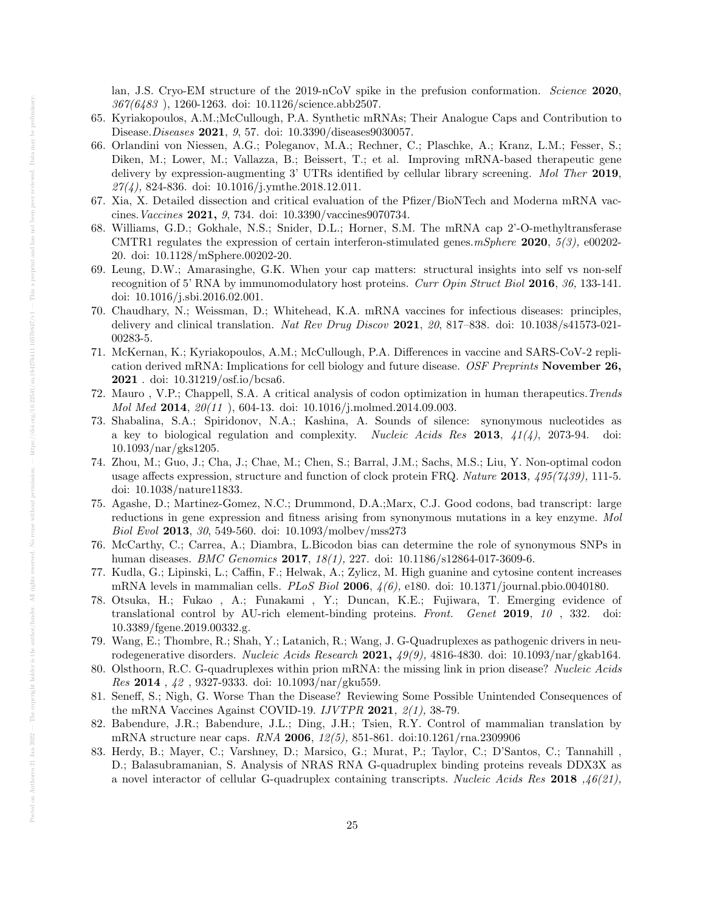lan, J.S. Cryo-EM structure of the 2019-nCoV spike in the prefusion conformation. *Science* 2020, 367(6483 ), 1260-1263. doi: 10.1126/science.abb2507.

- 65. Kyriakopoulos, A.M.;McCullough, P.A. Synthetic mRNAs; Their Analogue Caps and Contribution to Disease.Diseases 2021, 9, 57. doi: 10.3390/diseases9030057.
- 66. Orlandini von Niessen, A.G.; Poleganov, M.A.; Rechner, C.; Plaschke, A.; Kranz, L.M.; Fesser, S.; Diken, M.; Lower, M.; Vallazza, B.; Beissert, T.; et al. Improving mRNA-based therapeutic gene delivery by expression-augmenting 3' UTRs identified by cellular library screening. Mol Ther 2019,  $27(4)$ , 824-836. doi: 10.1016/j.ymthe.2018.12.011.
- 67. Xia, X. Detailed dissection and critical evaluation of the Pfizer/BioNTech and Moderna mRNA vaccines.Vaccines 2021, 9, 734. doi: 10.3390/vaccines9070734.
- 68. Williams, G.D.; Gokhale, N.S.; Snider, D.L.; Horner, S.M. The mRNA cap 2'-O-methyltransferase CMTR1 regulates the expression of certain interferon-stimulated genes.  $mSphere$  **2020**,  $5(3)$ , e00202-20. doi: 10.1128/mSphere.00202-20.
- 69. Leung, D.W.; Amarasinghe, G.K. When your cap matters: structural insights into self vs non-self recognition of 5' RNA by immunomodulatory host proteins. Curr Opin Struct Biol 2016, 36, 133-141. doi: 10.1016/j.sbi.2016.02.001.
- 70. Chaudhary, N.; Weissman, D.; Whitehead, K.A. mRNA vaccines for infectious diseases: principles, delivery and clinical translation. Nat Rev Drug Discov 2021, 20, 817–838. doi:  $10.1038/s41573-021-$ 00283-5.
- 71. McKernan, K.; Kyriakopoulos, A.M.; McCullough, P.A. Differences in vaccine and SARS-CoV-2 replication derived mRNA: Implications for cell biology and future disease. OSF Preprints November 26, 2021 . doi: 10.31219/osf.io/bcsa6.
- 72. Mauro , V.P.; Chappell, S.A. A critical analysis of codon optimization in human therapeutics.Trends Mol Med 2014,  $20(11)$ , 604-13. doi: 10.1016/j.molmed.2014.09.003.
- 73. Shabalina, S.A.; Spiridonov, N.A.; Kashina, A. Sounds of silence: synonymous nucleotides as a key to biological regulation and complexity. Nucleic Acids Res 2013,  $41(4)$ , 2073-94. doi: 10.1093/nar/gks1205.
- 74. Zhou, M.; Guo, J.; Cha, J.; Chae, M.; Chen, S.; Barral, J.M.; Sachs, M.S.; Liu, Y. Non-optimal codon usage affects expression, structure and function of clock protein FRQ. Nature 2013,  $495(7439)$ , 111-5. doi: 10.1038/nature11833.
- 75. Agashe, D.; Martinez-Gomez, N.C.; Drummond, D.A.;Marx, C.J. Good codons, bad transcript: large reductions in gene expression and fitness arising from synonymous mutations in a key enzyme. Mol Biol Evol 2013, 30, 549-560. doi: 10.1093/molbev/mss273
- 76. McCarthy, C.; Carrea, A.; Diambra, L.Bicodon bias can determine the role of synonymous SNPs in human diseases. BMC Genomics 2017, 18(1), 227. doi: 10.1186/s12864-017-3609-6.
- 77. Kudla, G.; Lipinski, L.; Caffin, F.; Helwak, A.; Zylicz, M. High guanine and cytosine content increases mRNA levels in mammalian cells. *PLoS Biol* 2006,  $\mu/6$ , e180. doi: 10.1371/journal.pbio.0040180.
- 78. Otsuka, H.; Fukao , A.; Funakami , Y.; Duncan, K.E.; Fujiwara, T. Emerging evidence of translational control by AU-rich element-binding proteins. Front. Genet 2019, 10 , 332. doi: 10.3389/fgene.2019.00332.g.
- 79. Wang, E.; Thombre, R.; Shah, Y.; Latanich, R.; Wang, J. G-Quadruplexes as pathogenic drivers in neurodegenerative disorders. Nucleic Acids Research 2021,  $49(9)$ , 4816-4830. doi: 10.1093/nar/gkab164.
- 80. Olsthoorn, R.C. G-quadruplexes within prion mRNA: the missing link in prion disease? Nucleic Acids  $Res$  2014,  $42$ , 9327-9333. doi: 10.1093/nar/gku559.
- 81. Seneff, S.; Nigh, G. Worse Than the Disease? Reviewing Some Possible Unintended Consequences of the mRNA Vaccines Against COVID-19.  $I\,VTPR$  2021,  $\mathcal{Q}(1)$ , 38-79.
- 82. Babendure, J.R.; Babendure, J.L.; Ding, J.H.; Tsien, R.Y. Control of mammalian translation by mRNA structure near caps. RNA 2006, 12(5), 851-861. doi:10.1261/rna.2309906
- 83. Herdy, B.; Mayer, C.; Varshney, D.; Marsico, G.; Murat, P.; Taylor, C.; D'Santos, C.; Tannahill , D.; Balasubramanian, S. Analysis of NRAS RNA G-quadruplex binding proteins reveals DDX3X as a novel interactor of cellular G-quadruplex containing transcripts. Nucleic Acids Res 2018 ,  $46(21)$ ,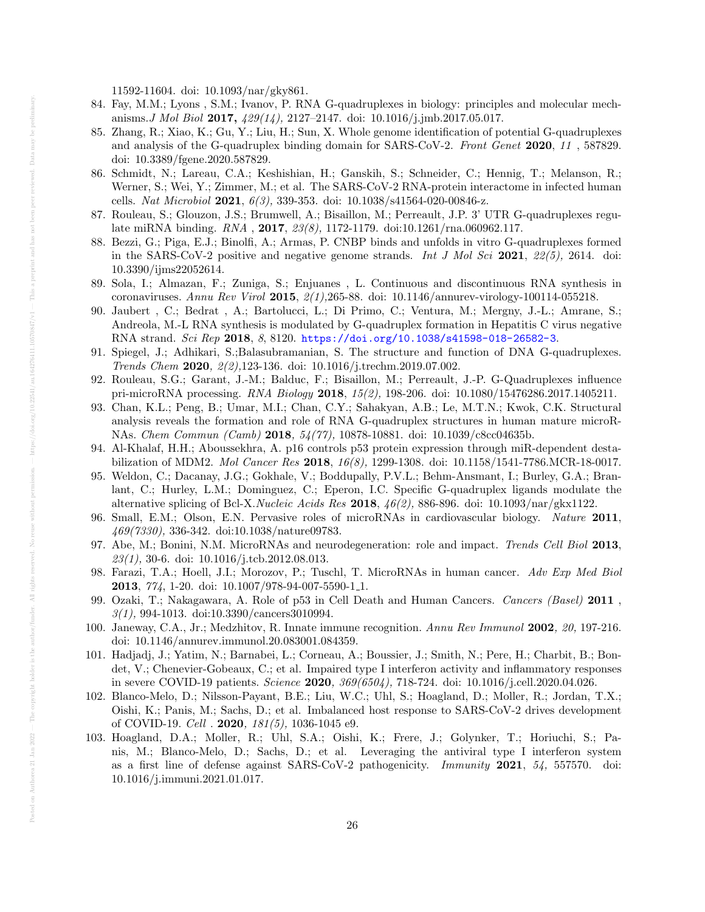11592-11604. doi: 10.1093/nar/gky861.

- 84. Fay, M.M.; Lyons , S.M.; Ivanov, P. RNA G-quadruplexes in biology: principles and molecular mechanisms. J Mol Biol 2017,  $429(14)$ , 2127–2147. doi: 10.1016/j.jmb.2017.05.017.
- 85. Zhang, R.; Xiao, K.; Gu, Y.; Liu, H.; Sun, X. Whole genome identification of potential G-quadruplexes and analysis of the G-quadruplex binding domain for SARS-CoV-2. Front Genet 2020, 11, 587829. doi: 10.3389/fgene.2020.587829.
- 86. Schmidt, N.; Lareau, C.A.; Keshishian, H.; Ganskih, S.; Schneider, C.; Hennig, T.; Melanson, R.; Werner, S.; Wei, Y.; Zimmer, M.; et al. The SARS-CoV-2 RNA-protein interactome in infected human cells. Nat Microbiol 2021, 6(3), 339-353. doi: 10.1038/s41564-020-00846-z.
- 87. Rouleau, S.; Glouzon, J.S.; Brumwell, A.; Bisaillon, M.; Perreault, J.P. 3' UTR G-quadruplexes regulate miRNA binding. RNA , 2017, 23(8), 1172-1179. doi:10.1261/rna.060962.117.
- 88. Bezzi, G.; Piga, E.J.; Binolfi, A.; Armas, P. CNBP binds and unfolds in vitro G-quadruplexes formed in the SARS-CoV-2 positive and negative genome strands. Int J Mol Sci 2021,  $22(5)$ , 2614. doi: 10.3390/ijms22052614.
- 89. Sola, I.; Almazan, F.; Zuniga, S.; Enjuanes , L. Continuous and discontinuous RNA synthesis in coronaviruses. Annu Rev Virol 2015,  $2(1)$ ,265-88. doi: 10.1146/annurev-virology-100114-055218.
- 90. Jaubert , C.; Bedrat , A.; Bartolucci, L.; Di Primo, C.; Ventura, M.; Mergny, J.-L.; Amrane, S.; Andreola, M.-L RNA synthesis is modulated by G-quadruplex formation in Hepatitis C virus negative RNA strand. Sci Rep 2018, 8, 8120. <https://doi.org/10.1038/s41598-018-26582-3>.
- 91. Spiegel, J.; Adhikari, S.;Balasubramanian, S. The structure and function of DNA G-quadruplexes. Trends Chem 2020, 2(2),123-136. doi: 10.1016/j.trechm.2019.07.002.
- 92. Rouleau, S.G.; Garant, J.-M.; Balduc, F.; Bisaillon, M.; Perreault, J.-P. G-Quadruplexes influence pri-microRNA processing. RNA Biology **2018**, 15(2), 198-206. doi: 10.1080/15476286.2017.1405211.
- 93. Chan, K.L.; Peng, B.; Umar, M.I.; Chan, C.Y.; Sahakyan, A.B.; Le, M.T.N.; Kwok, C.K. Structural analysis reveals the formation and role of RNA G-quadruplex structures in human mature microR-NAs. Chem Commun (Camb) 2018, 54(77), 10878-10881. doi: 10.1039/c8cc04635b.
- 94. Al-Khalaf, H.H.; Aboussekhra, A. p16 controls p53 protein expression through miR-dependent destabilization of MDM2. Mol Cancer Res 2018, 16(8), 1299-1308. doi: 10.1158/1541-7786.MCR-18-0017.
- 95. Weldon, C.; Dacanay, J.G.; Gokhale, V.; Boddupally, P.V.L.; Behm-Ansmant, I.; Burley, G.A.; Branlant, C.; Hurley, L.M.; Dominguez, C.; Eperon, I.C. Specific G-quadruplex ligands modulate the alternative splicing of Bcl-X. Nucleic Acids Res 2018,  $46(2)$ , 886-896. doi: 10.1093/nar/gkx1122.
- 96. Small, E.M.; Olson, E.N. Pervasive roles of microRNAs in cardiovascular biology. Nature 2011, 469(7330), 336-342. doi:10.1038/nature09783.
- 97. Abe, M.; Bonini, N.M. MicroRNAs and neurodegeneration: role and impact. Trends Cell Biol 2013,  $23(1)$ , 30-6. doi:  $10.1016$ /j.tcb.2012.08.013.
- 98. Farazi, T.A.; Hoell, J.I.; Morozov, P.; Tuschl, T. MicroRNAs in human cancer. Adv Exp Med Biol **2013**,  $774$ , 1-20. doi:  $10.1007/978-94-007-5590-1.1$ .
- 99. Ozaki, T.; Nakagawara, A. Role of p53 in Cell Death and Human Cancers. Cancers (Basel) 2011 ,  $3(1)$ , 994-1013. doi:10.3390/cancers3010994.
- 100. Janeway, C.A., Jr.; Medzhitov, R. Innate immune recognition. Annu Rev Immunol 2002, 20, 197-216. doi: 10.1146/annurev.immunol.20.083001.084359.
- 101. Hadjadj, J.; Yatim, N.; Barnabei, L.; Corneau, A.; Boussier, J.; Smith, N.; Pere, H.; Charbit, B.; Bondet, V.; Chenevier-Gobeaux, C.; et al. Impaired type I interferon activity and inflammatory responses in severe COVID-19 patients. Science 2020, 369(6504), 718-724. doi: 10.1016/j.cell.2020.04.026.
- 102. Blanco-Melo, D.; Nilsson-Payant, B.E.; Liu, W.C.; Uhl, S.; Hoagland, D.; Moller, R.; Jordan, T.X.; Oishi, K.; Panis, M.; Sachs, D.; et al. Imbalanced host response to SARS-CoV-2 drives development of COVID-19. Cell . 2020, 181(5), 1036-1045 e9.
- 103. Hoagland, D.A.; Moller, R.; Uhl, S.A.; Oishi, K.; Frere, J.; Golynker, T.; Horiuchi, S.; Panis, M.; Blanco-Melo, D.; Sachs, D.; et al. Leveraging the antiviral type I interferon system as a first line of defense against SARS-CoV-2 pathogenicity. Immunity 2021, 54, 557570. doi: 10.1016/j.immuni.2021.01.017.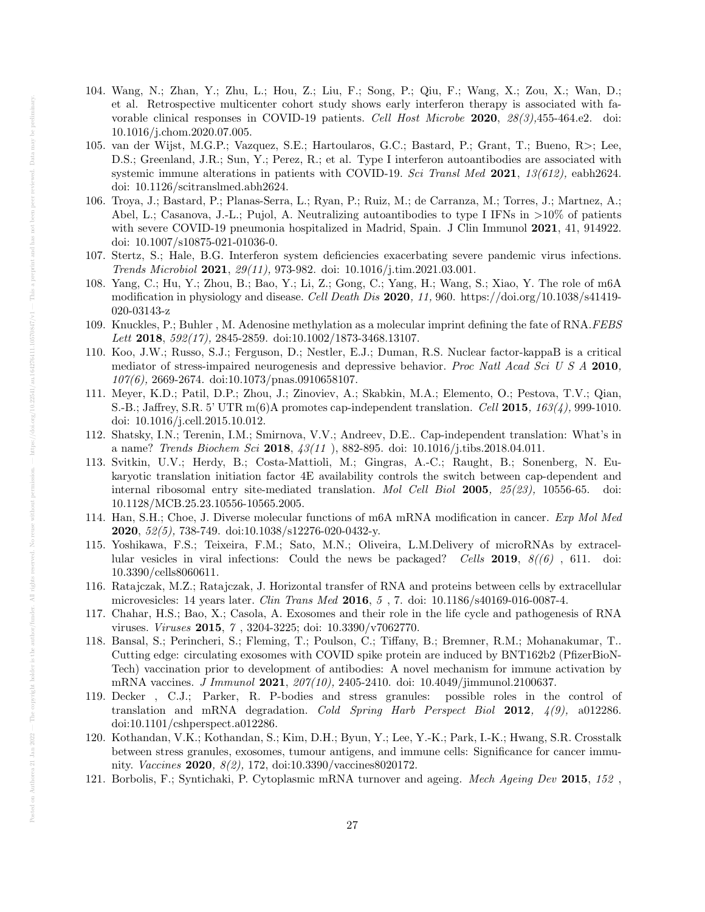- 104. Wang, N.; Zhan, Y.; Zhu, L.; Hou, Z.; Liu, F.; Song, P.; Qiu, F.; Wang, X.; Zou, X.; Wan, D.; et al. Retrospective multicenter cohort study shows early interferon therapy is associated with favorable clinical responses in COVID-19 patients. Cell Host Microbe 2020, 28(3),455-464.e2. doi: 10.1016/j.chom.2020.07.005.
- 105. van der Wijst, M.G.P.; Vazquez, S.E.; Hartoularos, G.C.; Bastard, P.; Grant, T.; Bueno, R>; Lee, D.S.; Greenland, J.R.; Sun, Y.; Perez, R.; et al. Type I interferon autoantibodies are associated with systemic immune alterations in patients with COVID-19. Sci Transl Med 2021, 13(612), eabh2624. doi: 10.1126/scitranslmed.abh2624.
- 106. Troya, J.; Bastard, P.; Planas-Serra, L.; Ryan, P.; Ruiz, M.; de Carranza, M.; Torres, J.; Martnez, A.; Abel, L.; Casanova, J.-L.; Pujol, A. Neutralizing autoantibodies to type I IFNs in >10% of patients with severe COVID-19 pneumonia hospitalized in Madrid, Spain. J Clin Immunol 2021, 41, 914922. doi: 10.1007/s10875-021-01036-0.
- 107. Stertz, S.; Hale, B.G. Interferon system deficiencies exacerbating severe pandemic virus infections. Trends Microbiol 2021, 29(11), 973-982. doi: 10.1016/j.tim.2021.03.001.
- 108. Yang, C.; Hu, Y.; Zhou, B.; Bao, Y.; Li, Z.; Gong, C.; Yang, H.; Wang, S.; Xiao, Y. The role of m6A modification in physiology and disease. Cell Death Dis 2020, 11, 960. https://doi.org/10.1038/s41419-020-03143-z
- 109. Knuckles, P.; Buhler , M. Adenosine methylation as a molecular imprint defining the fate of RNA.FEBS Lett 2018, 592(17), 2845-2859. doi:10.1002/1873-3468.13107.
- 110. Koo, J.W.; Russo, S.J.; Ferguson, D.; Nestler, E.J.; Duman, R.S. Nuclear factor-kappaB is a critical mediator of stress-impaired neurogenesis and depressive behavior. Proc Natl Acad Sci U S A 2010, 107(6), 2669-2674. doi:10.1073/pnas.0910658107.
- 111. Meyer, K.D.; Patil, D.P.; Zhou, J.; Zinoviev, A.; Skabkin, M.A.; Elemento, O.; Pestova, T.V.; Qian, S.-B.; Jaffrey, S.R. 5' UTR  $m(6)$ A promotes cap-independent translation. Cell 2015, 163(4), 999-1010. doi: 10.1016/j.cell.2015.10.012.
- 112. Shatsky, I.N.; Terenin, I.M.; Smirnova, V.V.; Andreev, D.E.. Cap-independent translation: What's in a name? Trends Biochem Sci 2018, 43(11 ), 882-895. doi: 10.1016/j.tibs.2018.04.011.
- 113. Svitkin, U.V.; Herdy, B.; Costa-Mattioli, M.; Gingras, A.-C.; Raught, B.; Sonenberg, N. Eukaryotic translation initiation factor 4E availability controls the switch between cap-dependent and internal ribosomal entry site-mediated translation. Mol Cell Biol 2005, 25(23), 10556-65. doi: 10.1128/MCB.25.23.10556-10565.2005.
- 114. Han, S.H.; Choe, J. Diverse molecular functions of m6A mRNA modification in cancer. Exp Mol Med 2020, 52(5), 738-749. doi:10.1038/s12276-020-0432-y.
- 115. Yoshikawa, F.S.; Teixeira, F.M.; Sato, M.N.; Oliveira, L.M.Delivery of microRNAs by extracellular vesicles in viral infections: Could the news be packaged? Cells 2019,  $8/(6)$ , 611. doi: 10.3390/cells8060611.
- 116. Ratajczak, M.Z.; Ratajczak, J. Horizontal transfer of RNA and proteins between cells by extracellular microvesicles: 14 years later. Clin Trans Med 2016, 5 , 7. doi: 10.1186/s40169-016-0087-4.
- 117. Chahar, H.S.; Bao, X.; Casola, A. Exosomes and their role in the life cycle and pathogenesis of RNA viruses. Viruses 2015, 7 , 3204-3225; doi: 10.3390/v7062770.
- 118. Bansal, S.; Perincheri, S.; Fleming, T.; Poulson, C.; Tiffany, B.; Bremner, R.M.; Mohanakumar, T.. Cutting edge: circulating exosomes with COVID spike protein are induced by BNT162b2 (PfizerBioN-Tech) vaccination prior to development of antibodies: A novel mechanism for immune activation by mRNA vaccines. J Immunol 2021, 207(10), 2405-2410. doi: 10.4049/jimmunol.2100637.
- 119. Decker , C.J.; Parker, R. P-bodies and stress granules: possible roles in the control of translation and mRNA degradation. Cold Spring Harb Perspect Biol 2012, 4(9), a012286. doi:10.1101/cshperspect.a012286.
- 120. Kothandan, V.K.; Kothandan, S.; Kim, D.H.; Byun, Y.; Lee, Y.-K.; Park, I.-K.; Hwang, S.R. Crosstalk between stress granules, exosomes, tumour antigens, and immune cells: Significance for cancer immunity. Vaccines 2020, 8(2), 172, doi:10.3390/vaccines8020172.
- 121. Borbolis, F.; Syntichaki, P. Cytoplasmic mRNA turnover and ageing. Mech Ageing Dev 2015, 152 ,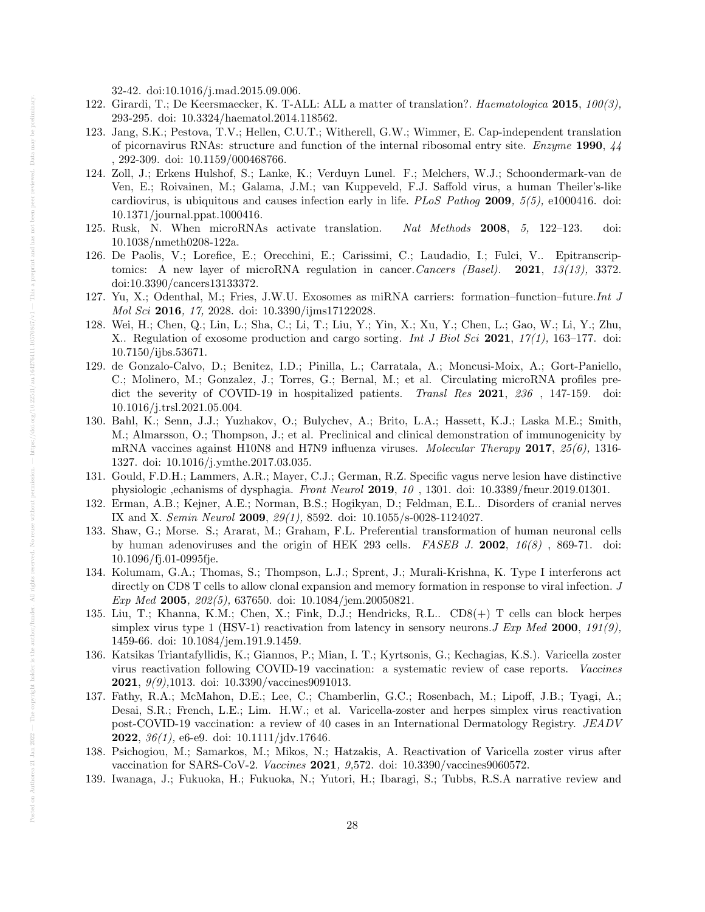32-42. doi:10.1016/j.mad.2015.09.006.

- 122. Girardi, T.; De Keersmaecker, K. T-ALL: ALL a matter of translation?. Haematologica 2015, 100(3), 293-295. doi: 10.3324/haematol.2014.118562.
- 123. Jang, S.K.; Pestova, T.V.; Hellen, C.U.T.; Witherell, G.W.; Wimmer, E. Cap-independent translation of picornavirus RNAs: structure and function of the internal ribosomal entry site. Enzyme 1990, 44 , 292-309. doi: 10.1159/000468766.
- 124. Zoll, J.; Erkens Hulshof, S.; Lanke, K.; Verduyn Lunel. F.; Melchers, W.J.; Schoondermark-van de Ven, E.; Roivainen, M.; Galama, J.M.; van Kuppeveld, F.J. Saffold virus, a human Theiler's-like cardiovirus, is ubiquitous and causes infection early in life. PLoS Pathog 2009,  $5(5)$ , e1000416. doi: 10.1371/journal.ppat.1000416.
- 125. Rusk, N. When microRNAs activate translation. Nat Methods 2008, 5, 122–123. doi: 10.1038/nmeth0208-122a.
- 126. De Paolis, V.; Lorefice, E.; Orecchini, E.; Carissimi, C.; Laudadio, I.; Fulci, V.. Epitranscriptomics: A new layer of microRNA regulation in cancer. Cancers (Basel). 2021, 13(13), 3372. doi:10.3390/cancers13133372.
- 127. Yu, X.; Odenthal, M.; Fries, J.W.U. Exosomes as miRNA carriers: formation–function–future.Int J Mol Sci 2016, 17, 2028. doi: 10.3390/ijms17122028.
- 128. Wei, H.; Chen, Q.; Lin, L.; Sha, C.; Li, T.; Liu, Y.; Yin, X.; Xu, Y.; Chen, L.; Gao, W.; Li, Y.; Zhu, X.. Regulation of exosome production and cargo sorting. Int J Biol Sci 2021, 17(1), 163–177. doi: 10.7150/ijbs.53671.
- 129. de Gonzalo-Calvo, D.; Benitez, I.D.; Pinilla, L.; Carratala, A.; Moncusi-Moix, A.; Gort-Paniello, C.; Molinero, M.; Gonzalez, J.; Torres, G.; Bernal, M.; et al. Circulating microRNA profiles predict the severity of COVID-19 in hospitalized patients. Transl Res 2021, 236, 147-159. doi: 10.1016/j.trsl.2021.05.004.
- 130. Bahl, K.; Senn, J.J.; Yuzhakov, O.; Bulychev, A.; Brito, L.A.; Hassett, K.J.; Laska M.E.; Smith, M.; Almarsson, O.; Thompson, J.; et al. Preclinical and clinical demonstration of immunogenicity by mRNA vaccines against H10N8 and H7N9 influenza viruses. Molecular Therapy 2017, 25(6), 1316-1327. doi: 10.1016/j.ymthe.2017.03.035.
- 131. Gould, F.D.H.; Lammers, A.R.; Mayer, C.J.; German, R.Z. Specific vagus nerve lesion have distinctive physiologic ,echanisms of dysphagia. Front Neurol 2019, 10 , 1301. doi: 10.3389/fneur.2019.01301.
- 132. Erman, A.B.; Kejner, A.E.; Norman, B.S.; Hogikyan, D.; Feldman, E.L.. Disorders of cranial nerves IX and X. Semin Neurol 2009, 29(1), 8592. doi: 10.1055/s-0028-1124027.
- 133. Shaw, G.; Morse. S.; Ararat, M.; Graham, F.L. Preferential transformation of human neuronal cells by human adenoviruses and the origin of HEK 293 cells. FASEB J. 2002,  $16(8)$ , 869-71. doi: 10.1096/fj.01-0995fje.
- 134. Kolumam, G.A.; Thomas, S.; Thompson, L.J.; Sprent, J.; Murali-Krishna, K. Type I interferons act directly on CD8 T cells to allow clonal expansion and memory formation in response to viral infection. J Exp Med 2005, 202(5), 637650. doi: 10.1084/jem.20050821.
- 135. Liu, T.; Khanna, K.M.; Chen, X.; Fink, D.J.; Hendricks, R.L.. CD8(+) T cells can block herpes simplex virus type 1 (HSV-1) reactivation from latency in sensory neurons. J Exp Med 2000, 191(9), 1459-66. doi: 10.1084/jem.191.9.1459.
- 136. Katsikas Triantafyllidis, K.; Giannos, P.; Mian, I. T.; Kyrtsonis, G.; Kechagias, K.S.). Varicella zoster virus reactivation following COVID-19 vaccination: a systematic review of case reports. Vaccines 2021, 9(9),1013. doi: 10.3390/vaccines9091013.
- 137. Fathy, R.A.; McMahon, D.E.; Lee, C.; Chamberlin, G.C.; Rosenbach, M.; Lipoff, J.B.; Tyagi, A.; Desai, S.R.; French, L.E.; Lim. H.W.; et al. Varicella-zoster and herpes simplex virus reactivation post-COVID-19 vaccination: a review of 40 cases in an International Dermatology Registry. JEADV **2022**,  $36(1)$ , e6-e9. doi:  $10.1111/jdv.17646$ .
- 138. Psichogiou, M.; Samarkos, M.; Mikos, N.; Hatzakis, A. Reactivation of Varicella zoster virus after vaccination for SARS-CoV-2. Vaccines 2021, 9,572. doi: 10.3390/vaccines9060572.
- 139. Iwanaga, J.; Fukuoka, H.; Fukuoka, N.; Yutori, H.; Ibaragi, S.; Tubbs, R.S.A narrative review and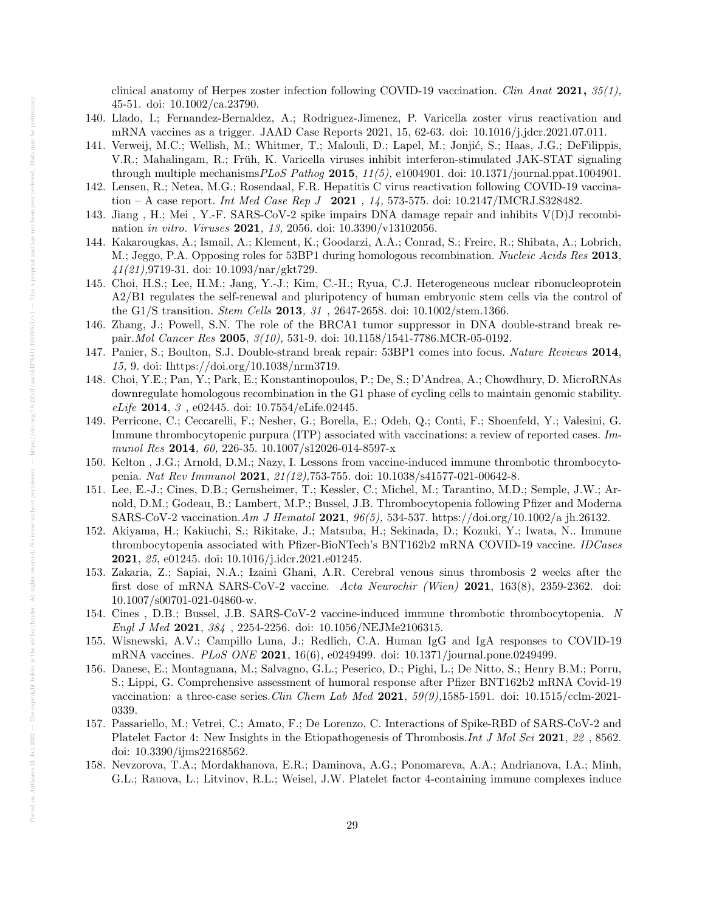clinical anatomy of Herpes zoster infection following COVID-19 vaccination. Clin Anat 2021,  $35(1)$ , 45-51. doi: 10.1002/ca.23790.

- 140. Llado, I.; Fernandez-Bernaldez, A.; Rodriguez-Jimenez, P. Varicella zoster virus reactivation and mRNA vaccines as a trigger. JAAD Case Reports 2021, 15, 62-63. doi: 10.1016/j.jdcr.2021.07.011.
- 141. Verweij, M.C.; Wellish, M.; Whitmer, T.; Malouli, D.; Lapel, M.; Jonjić, S.; Haas, J.G.; DeFilippis, V.R.; Mahalingam, R.; Früh, K. Varicella viruses inhibit interferon-stimulated JAK-STAT signaling through multiple mechanisms  $PLoS$  Pathog 2015, 11(5), e1004901. doi: 10.1371/journal.ppat.1004901.
- 142. Lensen, R.; Netea, M.G.; Rosendaal, F.R. Hepatitis C virus reactivation following COVID-19 vaccination – A case report. *Int Med Case Rep J* 2021,  $14$ , 573-575. doi: 10.2147/IMCRJ.S328482.
- 143. Jiang , H.; Mei , Y.-F. SARS-CoV-2 spike impairs DNA damage repair and inhibits V(D)J recombination in vitro. Viruses 2021, 13, 2056. doi: 10.3390/v13102056.
- 144. Kakarougkas, A.; Ismail, A.; Klement, K.; Goodarzi, A.A.; Conrad, S.; Freire, R.; Shibata, A.; Lobrich, M.; Jeggo, P.A. Opposing roles for 53BP1 during homologous recombination. Nucleic Acids Res 2013, 41(21),9719-31. doi: 10.1093/nar/gkt729.
- 145. Choi, H.S.; Lee, H.M.; Jang, Y.-J.; Kim, C.-H.; Ryua, C.J. Heterogeneous nuclear ribonucleoprotein A2/B1 regulates the self-renewal and pluripotency of human embryonic stem cells via the control of the G1/S transition. Stem Cells 2013, 31 , 2647-2658. doi: 10.1002/stem.1366.
- 146. Zhang, J.; Powell, S.N. The role of the BRCA1 tumor suppressor in DNA double-strand break repair. Mol Cancer Res 2005, 3(10), 531-9. doi: 10.1158/1541-7786. MCR-05-0192.
- 147. Panier, S.; Boulton, S.J. Double-strand break repair: 53BP1 comes into focus. Nature Reviews 2014, 15, 9. doi: Ihttps://doi.org/10.1038/nrm3719.
- 148. Choi, Y.E.; Pan, Y.; Park, E.; Konstantinopoulos, P.; De, S.; D'Andrea, A.; Chowdhury, D. MicroRNAs downregulate homologous recombination in the G1 phase of cycling cells to maintain genomic stability. eLife 2014, 3 , e02445. doi: 10.7554/eLife.02445.
- 149. Perricone, C.; Ceccarelli, F.; Nesher, G.; Borella, E.; Odeh, Q.; Conti, F.; Shoenfeld, Y.; Valesini, G. Immune thrombocytopenic purpura (ITP) associated with vaccinations: a review of reported cases. Immunol Res 2014, 60, 226-35. 10.1007/s12026-014-8597-x
- 150. Kelton , J.G.; Arnold, D.M.; Nazy, I. Lessons from vaccine-induced immune thrombotic thrombocytopenia. Nat Rev Immunol 2021, 21(12),753-755. doi: 10.1038/s41577-021-00642-8.
- 151. Lee, E.-J.; Cines, D.B.; Gernsheimer, T.; Kessler, C.; Michel, M.; Tarantino, M.D.; Semple, J.W.; Arnold, D.M.; Godeau, B.; Lambert, M.P.; Bussel, J.B. Thrombocytopenia following Pfizer and Moderna SARS-CoV-2 vaccination.Am J Hematol 2021, 96(5), 534-537. https://doi.org/10.1002/a jh.26132.
- 152. Akiyama, H.; Kakiuchi, S.; Rikitake, J.; Matsuba, H.; Sekinada, D.; Kozuki, Y.; Iwata, N.. Immune thrombocytopenia associated with Pfizer-BioNTech's BNT162b2 mRNA COVID-19 vaccine. IDCases 2021, 25, e01245. doi: 10.1016/j.idcr.2021.e01245.
- 153. Zakaria, Z.; Sapiai, N.A.; Izaini Ghani, A.R. Cerebral venous sinus thrombosis 2 weeks after the first dose of mRNA SARS-CoV-2 vaccine. Acta Neurochir (Wien) 2021, 163(8), 2359-2362. doi: 10.1007/s00701-021-04860-w.
- 154. Cines , D.B.; Bussel, J.B. SARS-CoV-2 vaccine-induced immune thrombotic thrombocytopenia. N Engl J Med 2021, 384 , 2254-2256. doi: 10.1056/NEJMe2106315.
- 155. Wisnewski, A.V.; Campillo Luna, J.; Redlich, C.A. Human IgG and IgA responses to COVID-19 mRNA vaccines. PLoS ONE 2021, 16(6), e0249499. doi: 10.1371/journal.pone.0249499.
- 156. Danese, E.; Montagnana, M.; Salvagno, G.L.; Peserico, D.; Pighi, L.; De Nitto, S.; Henry B.M.; Porru, S.; Lippi, G. Comprehensive assessment of humoral response after Pfizer BNT162b2 mRNA Covid-19 vaccination: a three-case series. Clin Chem Lab Med 2021,  $59(9)$ , 1585-1591. doi: 10.1515/cclm-2021-0339.
- 157. Passariello, M.; Vetrei, C.; Amato, F.; De Lorenzo, C. Interactions of Spike-RBD of SARS-CoV-2 and Platelet Factor 4: New Insights in the Etiopathogenesis of Thrombosis.*Int J Mol Sci* 2021, 22, 8562. doi: 10.3390/ijms22168562.
- 158. Nevzorova, T.A.; Mordakhanova, E.R.; Daminova, A.G.; Ponomareva, A.A.; Andrianova, I.A.; Minh, G.L.; Rauova, L.; Litvinov, R.L.; Weisel, J.W. Platelet factor 4-containing immune complexes induce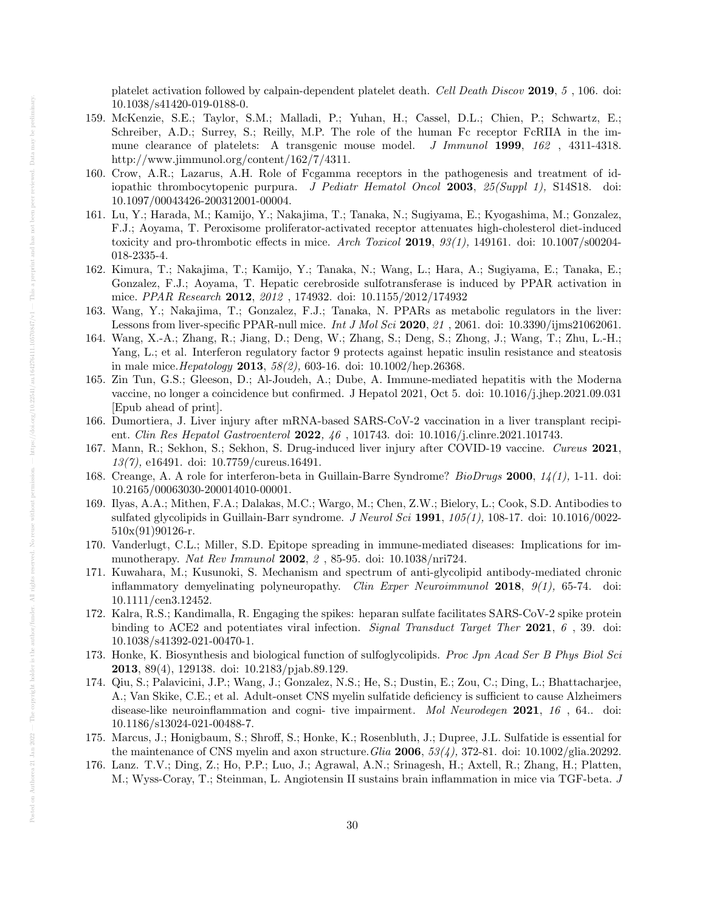platelet activation followed by calpain-dependent platelet death. Cell Death Discov 2019, 5 , 106. doi: 10.1038/s41420-019-0188-0.

- 159. McKenzie, S.E.; Taylor, S.M.; Malladi, P.; Yuhan, H.; Cassel, D.L.; Chien, P.; Schwartz, E.; Schreiber, A.D.; Surrey, S.; Reilly, M.P. The role of the human Fc receptor FcRIIA in the immune clearance of platelets: A transgenic mouse model. *J Immunol* 1999, 162, 4311-4318. http://www.jimmunol.org/content/162/7/4311.
- 160. Crow, A.R.; Lazarus, A.H. Role of Fcgamma receptors in the pathogenesis and treatment of idiopathic thrombocytopenic purpura. J Pediatr Hematol Oncol 2003, 25(Suppl 1), S14S18. doi: 10.1097/00043426-200312001-00004.
- 161. Lu, Y.; Harada, M.; Kamijo, Y.; Nakajima, T.; Tanaka, N.; Sugiyama, E.; Kyogashima, M.; Gonzalez, F.J.; Aoyama, T. Peroxisome proliferator-activated receptor attenuates high-cholesterol diet-induced toxicity and pro-thrombotic effects in mice. Arch Toxicol 2019,  $93(1)$ , 149161. doi: 10.1007/s00204-018-2335-4.
- 162. Kimura, T.; Nakajima, T.; Kamijo, Y.; Tanaka, N.; Wang, L.; Hara, A.; Sugiyama, E.; Tanaka, E.; Gonzalez, F.J.; Aoyama, T. Hepatic cerebroside sulfotransferase is induced by PPAR activation in mice. PPAR Research 2012, 2012 , 174932. doi: 10.1155/2012/174932
- 163. Wang, Y.; Nakajima, T.; Gonzalez, F.J.; Tanaka, N. PPARs as metabolic regulators in the liver: Lessons from liver-specific PPAR-null mice. Int J Mol Sci 2020, 21, 2061. doi:  $10.3390/ijms21062061$ .
- 164. Wang, X.-A.; Zhang, R.; Jiang, D.; Deng, W.; Zhang, S.; Deng, S.; Zhong, J.; Wang, T.; Zhu, L.-H.; Yang, L.; et al. Interferon regulatory factor 9 protects against hepatic insulin resistance and steatosis in male mice.Hepatology 2013, 58(2), 603-16. doi: 10.1002/hep.26368.
- 165. Zin Tun, G.S.; Gleeson, D.; Al-Joudeh, A.; Dube, A. Immune-mediated hepatitis with the Moderna vaccine, no longer a coincidence but confirmed. J Hepatol 2021, Oct 5. doi: 10.1016/j.jhep.2021.09.031 [Epub ahead of print].
- 166. Dumortiera, J. Liver injury after mRNA-based SARS-CoV-2 vaccination in a liver transplant recipient. Clin Res Hepatol Gastroenterol 2022, 46, 101743. doi: 10.1016/j.clinre.2021.101743.
- 167. Mann, R.; Sekhon, S.; Sekhon, S. Drug-induced liver injury after COVID-19 vaccine. Cureus 2021, 13(7), e16491. doi: 10.7759/cureus.16491.
- 168. Creange, A. A role for interferon-beta in Guillain-Barre Syndrome? BioDrugs 2000, 14(1), 1-11. doi: 10.2165/00063030-200014010-00001.
- 169. Ilyas, A.A.; Mithen, F.A.; Dalakas, M.C.; Wargo, M.; Chen, Z.W.; Bielory, L.; Cook, S.D. Antibodies to sulfated glycolipids in Guillain-Barr syndrome. J Neurol Sci 1991,  $105(1)$ , 108-17. doi: 10.1016/0022-510x(91)90126-r.
- 170. Vanderlugt, C.L.; Miller, S.D. Epitope spreading in immune-mediated diseases: Implications for immunotherapy. Nat Rev Immunol 2002, 2 , 85-95. doi: 10.1038/nri724.
- 171. Kuwahara, M.; Kusunoki, S. Mechanism and spectrum of anti-glycolipid antibody-mediated chronic inflammatory demyelinating polyneuropathy. Clin Exper Neuroimmunol 2018,  $9(1)$ , 65-74. doi: 10.1111/cen3.12452.
- 172. Kalra, R.S.; Kandimalla, R. Engaging the spikes: heparan sulfate facilitates SARS-CoV-2 spike protein binding to ACE2 and potentiates viral infection. Signal Transduct Target Ther 2021, 6, 39. doi: 10.1038/s41392-021-00470-1.
- 173. Honke, K. Biosynthesis and biological function of sulfoglycolipids. Proc Jpn Acad Ser B Phys Biol Sci 2013, 89(4), 129138. doi: 10.2183/pjab.89.129.
- 174. Qiu, S.; Palavicini, J.P.; Wang, J.; Gonzalez, N.S.; He, S.; Dustin, E.; Zou, C.; Ding, L.; Bhattacharjee, A.; Van Skike, C.E.; et al. Adult-onset CNS myelin sulfatide deficiency is sufficient to cause Alzheimers disease-like neuroinflammation and cogni- tive impairment. *Mol Neurodegen* 2021, 16, 64.. doi: 10.1186/s13024-021-00488-7.
- 175. Marcus, J.; Honigbaum, S.; Shroff, S.; Honke, K.; Rosenbluth, J.; Dupree, J.L. Sulfatide is essential for the maintenance of CNS myelin and axon structure. Glia 2006,  $53(4)$ , 372-81. doi: 10.1002/glia.20292.
- 176. Lanz. T.V.; Ding, Z.; Ho, P.P.; Luo, J.; Agrawal, A.N.; Srinagesh, H.; Axtell, R.; Zhang, H.; Platten, M.; Wyss-Coray, T.; Steinman, L. Angiotensin II sustains brain inflammation in mice via TGF-beta. J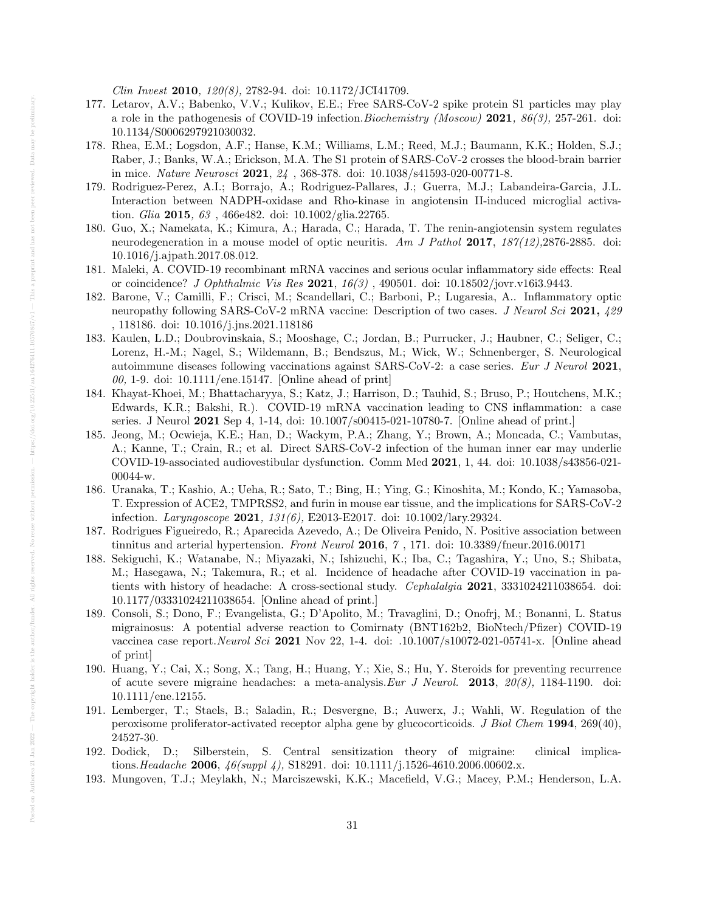Clin Invest 2010, 120(8), 2782-94. doi: 10.1172/JCI41709.

- 177. Letarov, A.V.; Babenko, V.V.; Kulikov, E.E.; Free SARS-CoV-2 spike protein S1 particles may play a role in the pathogenesis of COVID-19 infection. Biochemistry (Moscow) 2021,  $86(3)$ , 257-261. doi: 10.1134/S0006297921030032.
- 178. Rhea, E.M.; Logsdon, A.F.; Hanse, K.M.; Williams, L.M.; Reed, M.J.; Baumann, K.K.; Holden, S.J.; Raber, J.; Banks, W.A.; Erickson, M.A. The S1 protein of SARS-CoV-2 crosses the blood-brain barrier in mice. Nature Neurosci 2021,  $24$ , 368-378. doi:  $10.1038/\text{s}41593\text{-}020\text{-}00771\text{-}8$ .
- 179. Rodriguez-Perez, A.I.; Borrajo, A.; Rodriguez-Pallares, J.; Guerra, M.J.; Labandeira-Garcia, J.L. Interaction between NADPH-oxidase and Rho-kinase in angiotensin II-induced microglial activation. Glia 2015, 63 , 466e482. doi: 10.1002/glia.22765.
- 180. Guo, X.; Namekata, K.; Kimura, A.; Harada, C.; Harada, T. The renin-angiotensin system regulates neurodegeneration in a mouse model of optic neuritis. Am J Pathol 2017,  $187(12)$ , 2876-2885. doi: 10.1016/j.ajpath.2017.08.012.
- 181. Maleki, A. COVID-19 recombinant mRNA vaccines and serious ocular inflammatory side effects: Real or coincidence? J Ophthalmic Vis Res 2021, 16(3) , 490501. doi: 10.18502/jovr.v16i3.9443.
- 182. Barone, V.; Camilli, F.; Crisci, M.; Scandellari, C.; Barboni, P.; Lugaresia, A.. Inflammatory optic neuropathy following SARS-CoV-2 mRNA vaccine: Description of two cases. J Neurol Sci 2021, 429 , 118186. doi: 10.1016/j.jns.2021.118186
- 183. Kaulen, L.D.; Doubrovinskaia, S.; Mooshage, C.; Jordan, B.; Purrucker, J.; Haubner, C.; Seliger, C.; Lorenz, H.-M.; Nagel, S.; Wildemann, B.; Bendszus, M.; Wick, W.; Schnenberger, S. Neurological autoimmune diseases following vaccinations against SARS-CoV-2: a case series. Eur J Neurol 2021,  $00, 1$ -9. doi: 10.1111/ene.15147. [Online ahead of print]
- 184. Khayat-Khoei, M.; Bhattacharyya, S.; Katz, J.; Harrison, D.; Tauhid, S.; Bruso, P.; Houtchens, M.K.; Edwards, K.R.; Bakshi, R.). COVID-19 mRNA vaccination leading to CNS inflammation: a case series. J Neurol 2021 Sep 4, 1-14, doi: 10.1007/s00415-021-10780-7. [Online ahead of print.]
- 185. Jeong, M.; Ocwieja, K.E.; Han, D.; Wackym, P.A.; Zhang, Y.; Brown, A.; Moncada, C.; Vambutas, A.; Kanne, T.; Crain, R.; et al. Direct SARS-CoV-2 infection of the human inner ear may underlie COVID-19-associated audiovestibular dysfunction. Comm Med 2021, 1, 44. doi: 10.1038/s43856-021- 00044-w.
- 186. Uranaka, T.; Kashio, A.; Ueha, R.; Sato, T.; Bing, H.; Ying, G.; Kinoshita, M.; Kondo, K.; Yamasoba, T. Expression of ACE2, TMPRSS2, and furin in mouse ear tissue, and the implications for SARS-CoV-2 infection. Laryngoscope 2021, 131(6), E2013-E2017. doi: 10.1002/lary.29324.
- 187. Rodrigues Figueiredo, R.; Aparecida Azevedo, A.; De Oliveira Penido, N. Positive association between tinnitus and arterial hypertension. Front Neurol 2016,  $\gamma$ , 171. doi: 10.3389/fneur.2016.00171
- 188. Sekiguchi, K.; Watanabe, N.; Miyazaki, N.; Ishizuchi, K.; Iba, C.; Tagashira, Y.; Uno, S.; Shibata, M.; Hasegawa, N.; Takemura, R.; et al. Incidence of headache after COVID-19 vaccination in patients with history of headache: A cross-sectional study. Cephalalgia 2021, 3331024211038654. doi: 10.1177/03331024211038654. [Online ahead of print.]
- 189. Consoli, S.; Dono, F.; Evangelista, G.; D'Apolito, M.; Travaglini, D.; Onofrj, M.; Bonanni, L. Status migrainosus: A potential adverse reaction to Comirnaty (BNT162b2, BioNtech/Pfizer) COVID-19 vaccinea case report.Neurol Sci 2021 Nov 22, 1-4. doi: .10.1007/s10072-021-05741-x. [Online ahead of print]
- 190. Huang, Y.; Cai, X.; Song, X.; Tang, H.; Huang, Y.; Xie, S.; Hu, Y. Steroids for preventing recurrence of acute severe migraine headaches: a meta-analysis.Eur J Neurol. 2013, 20(8), 1184-1190. doi: 10.1111/ene.12155.
- 191. Lemberger, T.; Staels, B.; Saladin, R.; Desvergne, B.; Auwerx, J.; Wahli, W. Regulation of the peroxisome proliferator-activated receptor alpha gene by glucocorticoids. J Biol Chem 1994, 269(40), 24527-30.
- 192. Dodick, D.; Silberstein, S. Central sensitization theory of migraine: clinical implications. Headache 2006,  $46(suppl 4)$ , S18291. doi: 10.1111/j.1526-4610.2006.00602.x.
- 193. Mungoven, T.J.; Meylakh, N.; Marciszewski, K.K.; Macefield, V.G.; Macey, P.M.; Henderson, L.A.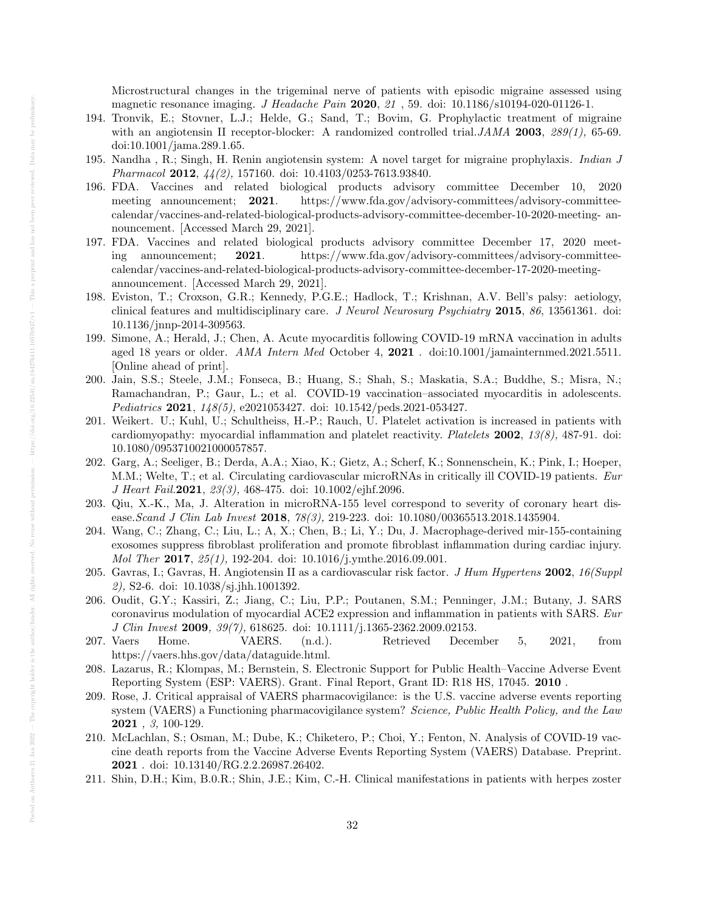Microstructural changes in the trigeminal nerve of patients with episodic migraine assessed using magnetic resonance imaging. *J Headache Pain* 2020, 21, 59. doi: 10.1186/s10194-020-01126-1.

- 194. Tronvik, E.; Stovner, L.J.; Helde, G.; Sand, T.; Bovim, G. Prophylactic treatment of migraine with an angiotensin II receptor-blocker: A randomized controlled trial. JAMA 2003,  $289(1)$ , 65-69. doi:10.1001/jama.289.1.65.
- 195. Nandha , R.; Singh, H. Renin angiotensin system: A novel target for migraine prophylaxis. Indian J Pharmacol 2012,  $44(2)$ , 157160. doi: 10.4103/0253-7613.93840.
- 196. FDA. Vaccines and related biological products advisory committee December 10, 2020 meeting announcement; 2021. https://www.fda.gov/advisory-committees/advisory-committeecalendar/vaccines-and-related-biological-products-advisory-committee-december-10-2020-meeting- announcement. [Accessed March 29, 2021].
- 197. FDA. Vaccines and related biological products advisory committee December 17, 2020 meeting announcement; 2021. https://www.fda.gov/advisory-committees/advisory-committeecalendar/vaccines-and-related-biological-products-advisory-committee-december-17-2020-meetingannouncement. [Accessed March 29, 2021].
- 198. Eviston, T.; Croxson, G.R.; Kennedy, P.G.E.; Hadlock, T.; Krishnan, A.V. Bell's palsy: aetiology, clinical features and multidisciplinary care. J Neurol Neurosurg Psychiatry 2015, 86, 13561361. doi: 10.1136/jnnp-2014-309563.
- 199. Simone, A.; Herald, J.; Chen, A. Acute myocarditis following COVID-19 mRNA vaccination in adults aged 18 years or older. AMA Intern Med October 4, 2021 . doi:10.1001/jamainternmed.2021.5511. [Online ahead of print].
- 200. Jain, S.S.; Steele, J.M.; Fonseca, B.; Huang, S.; Shah, S.; Maskatia, S.A.; Buddhe, S.; Misra, N.; Ramachandran, P.; Gaur, L.; et al. COVID-19 vaccination–associated myocarditis in adolescents. Pediatrics 2021, 148(5), e2021053427. doi: 10.1542/peds.2021-053427.
- 201. Weikert. U.; Kuhl, U.; Schultheiss, H.-P.; Rauch, U. Platelet activation is increased in patients with cardiomyopathy: myocardial inflammation and platelet reactivity. Platelets 2002, 13(8), 487-91. doi: 10.1080/0953710021000057857.
- 202. Garg, A.; Seeliger, B.; Derda, A.A.; Xiao, K.; Gietz, A.; Scherf, K.; Sonnenschein, K.; Pink, I.; Hoeper, M.M.; Welte, T.; et al. Circulating cardiovascular microRNAs in critically ill COVID-19 patients. Eur J Heart Fail. 2021, 23(3), 468-475. doi: 10.1002/ejhf. 2096.
- 203. Qiu, X.-K., Ma, J. Alteration in microRNA-155 level correspond to severity of coronary heart disease.Scand J Clin Lab Invest 2018, 78(3), 219-223. doi: 10.1080/00365513.2018.1435904.
- 204. Wang, C.; Zhang, C.; Liu, L.; A, X.; Chen, B.; Li, Y.; Du, J. Macrophage-derived mir-155-containing exosomes suppress fibroblast proliferation and promote fibroblast inflammation during cardiac injury. Mol Ther 2017, 25(1), 192-204. doi: 10.1016/j.ymthe.2016.09.001.
- 205. Gavras, I.; Gavras, H. Angiotensin II as a cardiovascular risk factor. J Hum Hypertens 2002, 16(Suppl 2), S2-6. doi: 10.1038/sj.jhh.1001392.
- 206. Oudit, G.Y.; Kassiri, Z.; Jiang, C.; Liu, P.P.; Poutanen, S.M.; Penninger, J.M.; Butany, J. SARS coronavirus modulation of myocardial ACE2 expression and inflammation in patients with SARS. Eur J Clin Invest 2009, 39(7), 618625. doi: 10.1111/j.1365-2362.2009.02153.
- 207. Vaers Home. VAERS. (n.d.). Retrieved December 5, 2021, from https://vaers.hhs.gov/data/dataguide.html.
- 208. Lazarus, R.; Klompas, M.; Bernstein, S. Electronic Support for Public Health–Vaccine Adverse Event Reporting System (ESP: VAERS). Grant. Final Report, Grant ID: R18 HS, 17045. 2010 .
- 209. Rose, J. Critical appraisal of VAERS pharmacovigilance: is the U.S. vaccine adverse events reporting system (VAERS) a Functioning pharmacovigilance system? Science, Public Health Policy, and the Law 2021 , 3, 100-129.
- 210. McLachlan, S.; Osman, M.; Dube, K.; Chiketero, P.; Choi, Y.; Fenton, N. Analysis of COVID-19 vaccine death reports from the Vaccine Adverse Events Reporting System (VAERS) Database. Preprint. 2021 . doi: 10.13140/RG.2.2.26987.26402.
- 211. Shin, D.H.; Kim, B.0.R.; Shin, J.E.; Kim, C.-H. Clinical manifestations in patients with herpes zoster

Authorea 21 Jan 2022 — The copyright holder is the

Posted on Authores 21 Jan 2022 - The copyright holder is the author/funder. All rights reserved. No reuse without permission.  $-\ln{t_{\rm PS}}/d\sin(\omega_0)$  and  $(22541/\omega)$  1032541/an.10527641.105770847/v1 - This a preprint and has

This a

 $\frac{1}{100}$  and  $\frac{1}{100}$  (10.22541/au.164276411.10570847/v1 -